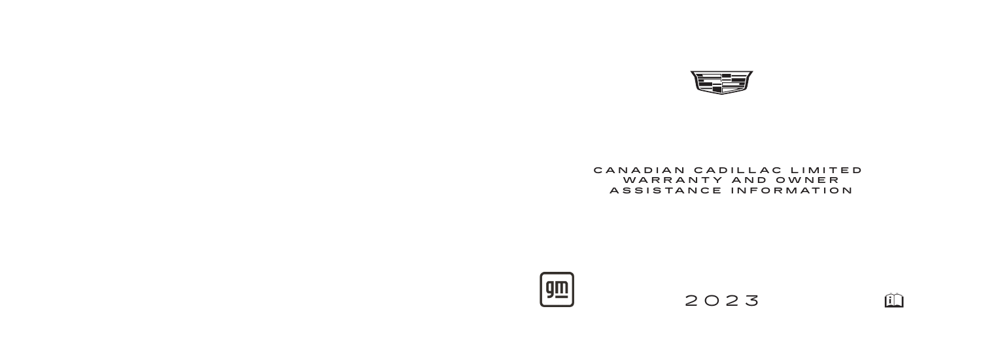

# CANADIAN CADILLAC LIMITED  **WARRANTY AND OWNER** ASSISTANCE INFORMATION



2023

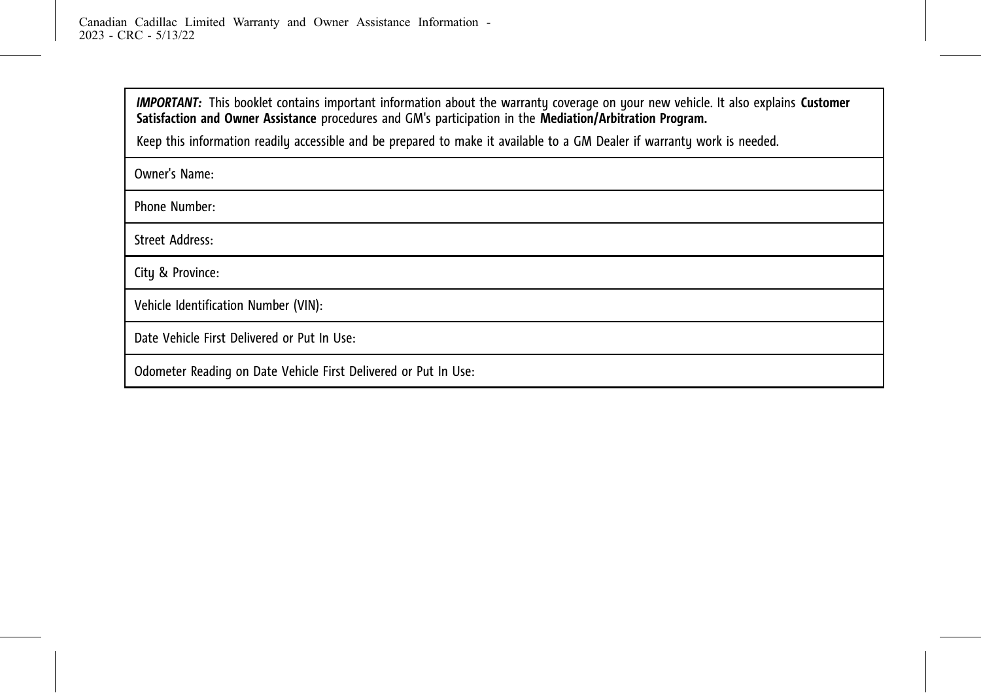*IMPORTANT:* This booklet contains important information about the warranty coverage on your new vehicle. It also explains **Customer Satisfaction and Owner Assistance** procedures and GM's participation in the **Mediation/Arbitration Program.**

Keep this information readily accessible and be prepared to make it available to a GM Dealer if warranty work is needed.

Owner's Name:

Phone Number:

Street Address:

City & Province:

Vehicle Identification Number (VIN):

Date Vehicle First Delivered or Put In Use:

Odometer Reading on Date Vehicle First Delivered or Put In Use: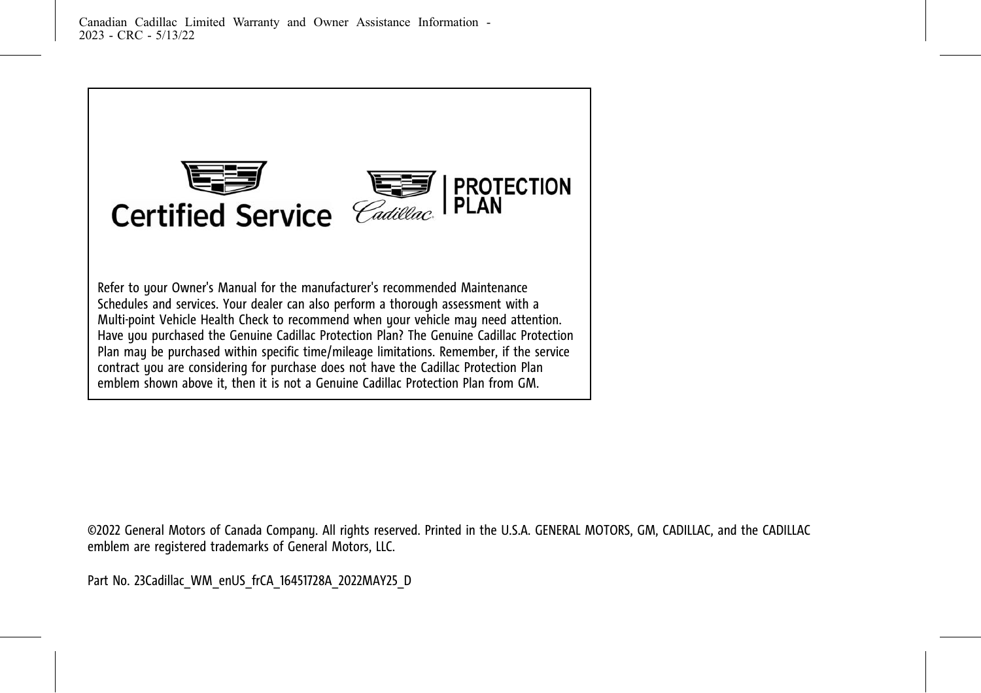

©2022 General Motors of Canada Company. All rights reserved. Printed in the U.S.A. GENERAL MOTORS, GM, CADILLAC, and the CADILLAC emblem are registered trademarks of General Motors, LLC.

Part No. 23Cadillac\_WM\_enUS\_frCA\_16451728A\_2022MAY25\_D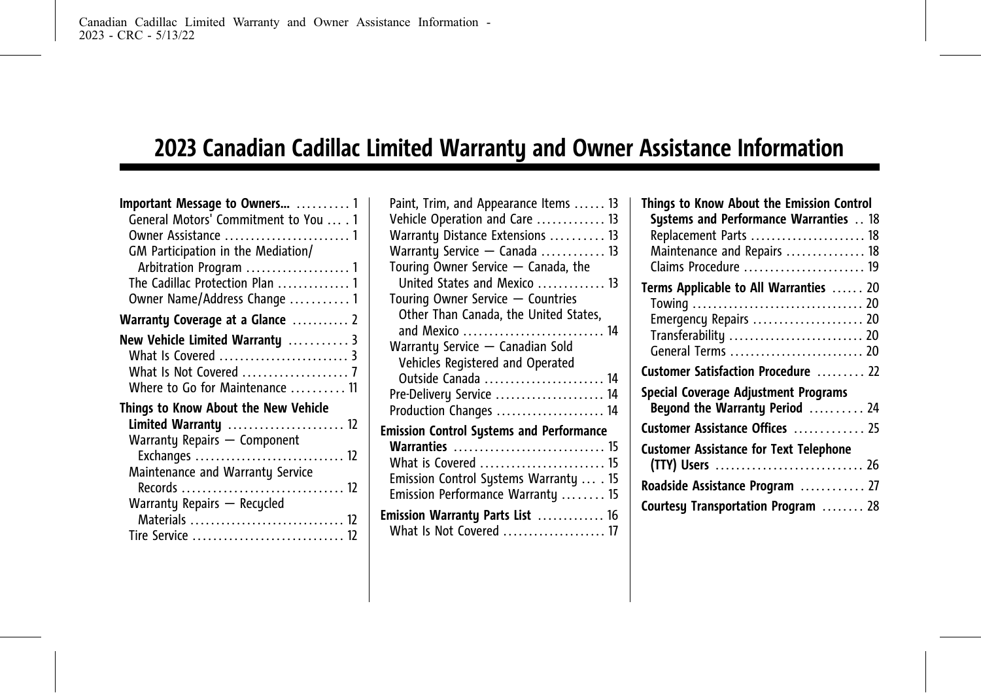# **2023 Canadian Cadillac Limited Warranty and Owner Assistance Information**

| Important Message to Owners  1         |
|----------------------------------------|
| General Motors' Commitment to You  . 1 |
|                                        |
| GM Participation in the Mediation/     |
|                                        |
| The Cadillac Protection Plan  1        |
| Owner Name/Address Change  1           |
| Warranty Coverage at a Glance  2       |
| New Vehicle Limited Warranty  3        |
| What Is Covered  3                     |
| What Is Not Covered  7                 |
| Where to Go for Maintenance  11        |
| Things to Know About the New Vehicle   |
| Limited Warranty  12                   |
| Warranty Repairs - Component           |
| Exchanges  12                          |
| Maintenance and Warranty Service       |
|                                        |
| Warranty Repairs - Recycled            |
| Materials  12                          |
| Tire Service  12                       |

| Paint, Trim, and Appearance Items  13           |
|-------------------------------------------------|
| Vehicle Operation and Care  13                  |
| Warranty Distance Extensions  13                |
| Warranty Service - Canada  13                   |
| Touring Owner Service - Canada, the             |
| United States and Mexico  13                    |
| Touring Owner Service - Countries               |
| Other Than Canada, the United States,           |
| and Mexico  14                                  |
| Warranty Service - Canadian Sold                |
| Vehicles Registered and Operated                |
| Outside Canada  14                              |
| Pre-Delivery Service  14                        |
| Production Changes  14                          |
| <b>Emission Control Systems and Performance</b> |
| Warranties  15                                  |
| What is Covered  15                             |
| Emission Control Systems Warranty  . 15         |
| Emission Performance Warranty  15               |
| Emission Warranty Parts List  16                |
| What Is Not Covered  17                         |
|                                                 |

| Things to Know About the Emission Control     |
|-----------------------------------------------|
| Systems and Performance Warranties  18        |
| Replacement Parts  18                         |
| Maintenance and Repairs  18                   |
| Claims Procedure  19                          |
| Terms Applicable to All Warranties  20        |
|                                               |
| Emergency Repairs  20                         |
| Transferability  20                           |
| General Terms  20                             |
| Customer Satisfaction Procedure  22           |
| Special Coverage Adjustment Programs          |
| Beyond the Warranty Period  24                |
| Customer Assistance Offices  25               |
| <b>Customer Assistance for Text Telephone</b> |
|                                               |
| Roadside Assistance Program  27               |
| Courtesy Transportation Program  28           |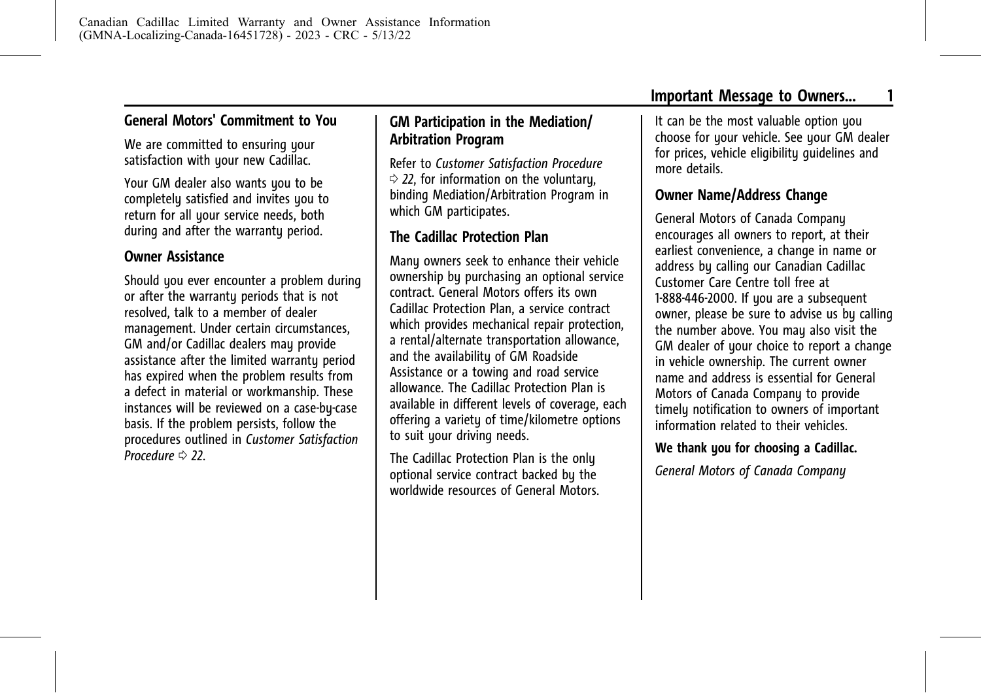<span id="page-5-0"></span>We are committed to ensuring your satisfaction with your new Cadillac.

Your GM dealer also wants you to be completely satisfied and invites you to return for all your service needs, both during and after the warranty period.

### **Owner Assistance**

Should you ever encounter a problem during or after the warrantu periods that is not resolved, talk to a member of dealer management. Under certain circumstances, GM and/or Cadillac dealers may provide assistance after the limited warranty period has expired when the problem results from a defect in material or workmanship. These instances will be reviewed on a case-by-case basis. If the problem persists, follow the procedures outlined in *[Customer Satisfaction](#page-26-0) [Procedure](#page-26-0)*  $\Rightarrow$  22.

# **GM Participation in the Mediation/ Arbitration Program**

Refer to *[Customer Satisfaction Procedure](#page-26-0)*  $\Rightarrow$  [22](#page-26-0), for information on the voluntary, binding Mediation/Arbitration Program in which GM participates.

# **The Cadillac Protection Plan**

Many owners seek to enhance their vehicle ownership by purchasing an optional service contract. General Motors offers its own Cadillac Protection Plan, a service contract which provides mechanical repair protection, a rental/alternate transportation allowance, and the availability of GM Roadside Assistance or a towing and road service allowance. The Cadillac Protection Plan is available in different levels of coverage, each offering a variety of time/kilometre options to suit your driving needs.

The Cadillac Protection Plan is the only optional service contract backed by the worldwide resources of General Motors. It can be the most valuable option you choose for your vehicle. See your GM dealer for prices, vehicle eligibility guidelines and more details.

# **Owner Name/Address Change**

General Motors of Canada Company encourages all owners to report, at their earliest convenience, a change in name or address by calling our Canadian Cadillac Customer Care Centre toll free at 1-888-446-2000. If you are a subsequent owner, please be sure to advise us by calling the number above. You may also visit the GM dealer of your choice to report a change in vehicle ownership. The current owner name and address is essential for General Motors of Canada Company to provide timely notification to owners of important information related to their vehicles.

#### **We thank you for choosing a Cadillac.**

*General Motors of Canada Company*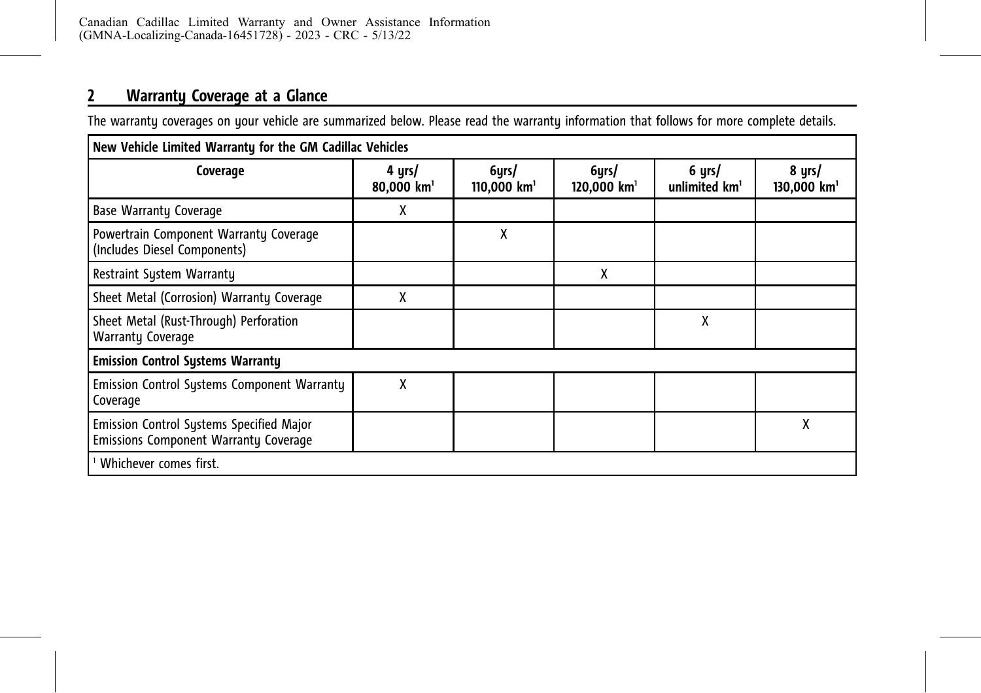# <span id="page-6-0"></span>**2 Warranty Coverage at a Glance**

The warranty coverages on your vehicle are summarized below. Please read the warranty information that follows for more complete details.

| New Vehicle Limited Warranty for the GM Cadillac Vehicles                                |                                  |                        |                                    |                           |                                     |
|------------------------------------------------------------------------------------------|----------------------------------|------------------------|------------------------------------|---------------------------|-------------------------------------|
| Coverage                                                                                 | 4 yrs/<br>80,000 km <sup>1</sup> | 6yrs/<br>110,000 $km1$ | 6yrs/<br>$120,000$ km <sup>1</sup> | 6 yrs/<br>unlimited $km1$ | 8 yrs/<br>$130,000$ km <sup>1</sup> |
| <b>Base Warranty Coverage</b>                                                            | x                                |                        |                                    |                           |                                     |
| Powertrain Component Warranty Coverage<br>(Includes Diesel Components)                   |                                  | χ                      |                                    |                           |                                     |
| Restraint System Warranty                                                                |                                  |                        | X                                  |                           |                                     |
| Sheet Metal (Corrosion) Warranty Coverage                                                | χ                                |                        |                                    |                           |                                     |
| Sheet Metal (Rust-Through) Perforation<br><b>Warranty Coverage</b>                       |                                  |                        |                                    | χ                         |                                     |
| <b>Emission Control Systems Warranty</b>                                                 |                                  |                        |                                    |                           |                                     |
| Emission Control Systems Component Warranty<br>Coverage                                  | X                                |                        |                                    |                           |                                     |
| Emission Control Systems Specified Major<br><b>Emissions Component Warranty Coverage</b> |                                  |                        |                                    |                           | Χ                                   |
| Whichever comes first.                                                                   |                                  |                        |                                    |                           |                                     |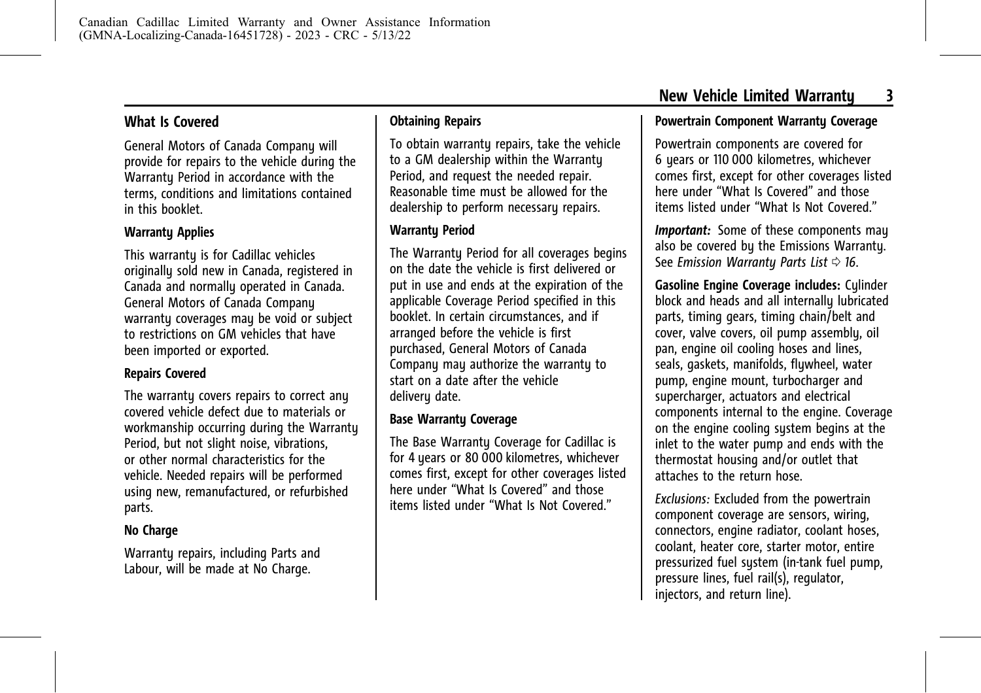<span id="page-7-0"></span>General Motors of Canada Company will provide for repairs to the vehicle during the Warranty Period in accordance with the terms, conditions and limitations contained in this booklet.

#### **Warranty Applies**

This warrantu is for Cadillac vehicles originally sold new in Canada, registered in Canada and normally operated in Canada. General Motors of Canada Company warranty coverages may be void or subject to restrictions on GM vehicles that have been imported or exported.

#### **Repairs Covered**

The warranty covers repairs to correct any covered vehicle defect due to materials or workmanship occurring during the Warranty Period, but not slight noise, vibrations, or other normal characteristics for the vehicle. Needed repairs will be performed using new, remanufactured, or refurbished parts.

#### **No Charge**

Warranty repairs, including Parts and Labour, will be made at No Charge.

#### **Obtaining Repairs**

To obtain warranty repairs, take the vehicle to a GM dealership within the Warranty Period, and request the needed repair. Reasonable time must be allowed for the dealership to perform necessary repairs.

#### **Warranty Period**

The Warranty Period for all coverages begins on the date the vehicle is first delivered or put in use and ends at the expiration of the applicable Coverage Period specified in this booklet. In certain circumstances, and if arranged before the vehicle is first purchased, General Motors of Canada Company may authorize the warranty to start on a date after the vehicle delivery date.

#### **Base Warranty Coverage**

The Base Warranty Coverage for Cadillac is for 4 years or 80 000 kilometres, whichever comes first, except for other coverages listed here under "What Is Covered" and those items listed under "What Is Not Covered."

#### **Powertrain Component Warranty Coverage**

Powertrain components are covered for 6 years or 110 000 kilometres, whichever comes first, except for other coverages listed here under "What Is Covered" and those items listed under "What Is Not Covered."

*Important:* Some of these components may also be covered by the Emissions Warranty. See *Emission Warrantu Parts List*  $\Rightarrow$  16.

**Gasoline Engine Coverage includes:** Cylinder block and heads and all internally lubricated parts, timing gears, timing chain/belt and cover, valve covers, oil pump assembly, oil pan, engine oil cooling hoses and lines, seals, gaskets, manifolds, flywheel, water pump, engine mount, turbocharger and supercharger, actuators and electrical components internal to the engine. Coverage on the engine cooling system begins at the inlet to the water pump and ends with the thermostat housing and/or outlet that attaches to the return hose.

*Exclusions:* Excluded from the powertrain component coverage are sensors, wiring, connectors, engine radiator, coolant hoses, coolant, heater core, starter motor, entire pressurized fuel system (in-tank fuel pump, pressure lines, fuel rail(s), regulator, injectors, and return line).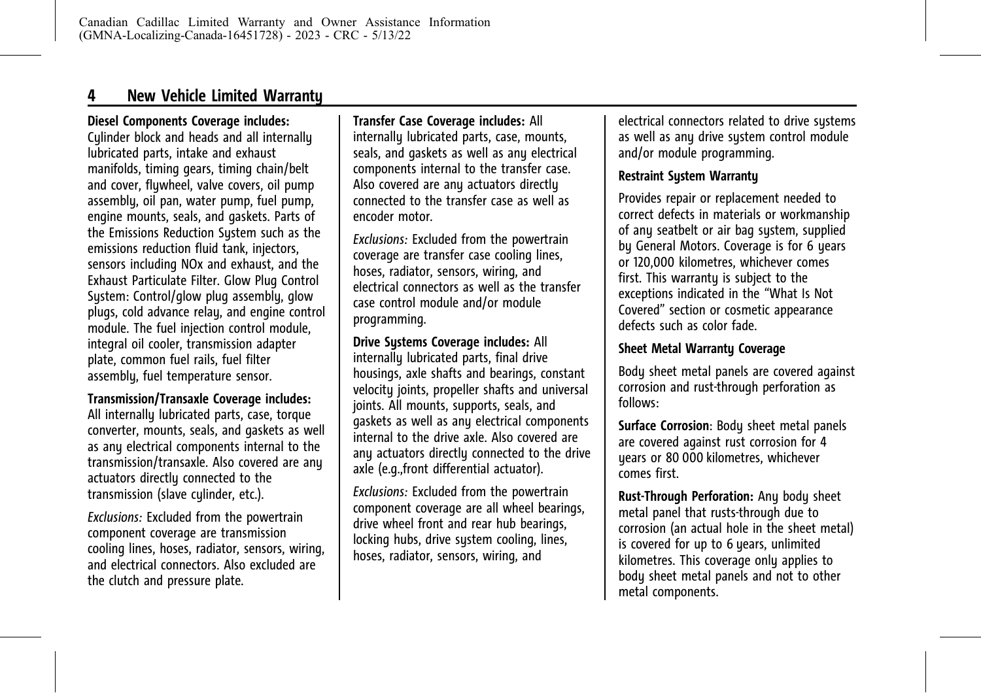# **4 New Vehicle Limited Warranty**

#### **Diesel Components Coverage includes:**

Cylinder block and heads and all internally lubricated parts, intake and exhaust manifolds, timing gears, timing chain/belt and cover, flywheel, valve covers, oil pump assembly, oil pan, water pump, fuel pump, engine mounts, seals, and gaskets. Parts of the Emissions Reduction System such as the emissions reduction fluid tank, injectors, sensors including NOx and exhaust, and the Exhaust Particulate Filter. Glow Plug Control System: Control/glow plug assembly, glow plugs, cold advance relay, and engine control module. The fuel injection control module, integral oil cooler, transmission adapter plate, common fuel rails, fuel filter assembly, fuel temperature sensor.

#### **Transmission/Transaxle Coverage includes:**

All internally lubricated parts, case, torque converter, mounts, seals, and gaskets as well as any electrical components internal to the transmission/transaxle. Also covered are any actuators directly connected to the transmission (slave cylinder, etc.).

*Exclusions:* Excluded from the powertrain component coverage are transmission cooling lines, hoses, radiator, sensors, wiring, and electrical connectors. Also excluded are the clutch and pressure plate.

**Transfer Case Coverage includes:** All internally lubricated parts, case, mounts, seals, and gaskets as well as any electrical components internal to the transfer case. Also covered are any actuators directly connected to the transfer case as well as encoder motor.

*Exclusions:* Excluded from the powertrain coverage are transfer case cooling lines, hoses, radiator, sensors, wiring, and electrical connectors as well as the transfer case control module and/or module programming.

#### **Drive Sustems Coverage includes: All**

internally lubricated parts, final drive housings, axle shafts and bearings, constant velocity joints, propeller shafts and universal joints. All mounts, supports, seals, and gaskets as well as any electrical components internal to the drive axle. Also covered are any actuators directly connected to the drive axle (e.g.,front differential actuator).

*Exclusions:* Excluded from the powertrain component coverage are all wheel bearings, drive wheel front and rear hub bearings, locking hubs, drive system cooling, lines, hoses, radiator, sensors, wiring, and

electrical connectors related to drive systems as well as any drive system control module and/or module programming.

#### **Restraint System Warranty**

Provides repair or replacement needed to correct defects in materials or workmanship of any seatbelt or air bag system, supplied by General Motors. Coverage is for 6 years or 120,000 kilometres, whichever comes first. This warranty is subject to the exceptions indicated in the "What Is Not Covered" section or cosmetic appearance defects such as color fade.

#### **Sheet Metal Warranty Coverage**

Body sheet metal panels are covered against corrosion and rust-through perforation as follows:

**Surface Corrosion**: Body sheet metal panels are covered against rust corrosion for 4 years or 80 000 kilometres, whichever comes first.

**Rust-Through Perforation:** Any body sheet metal panel that rusts-through due to corrosion (an actual hole in the sheet metal) is covered for up to 6 years, unlimited kilometres. This coverage only applies to body sheet metal panels and not to other metal components.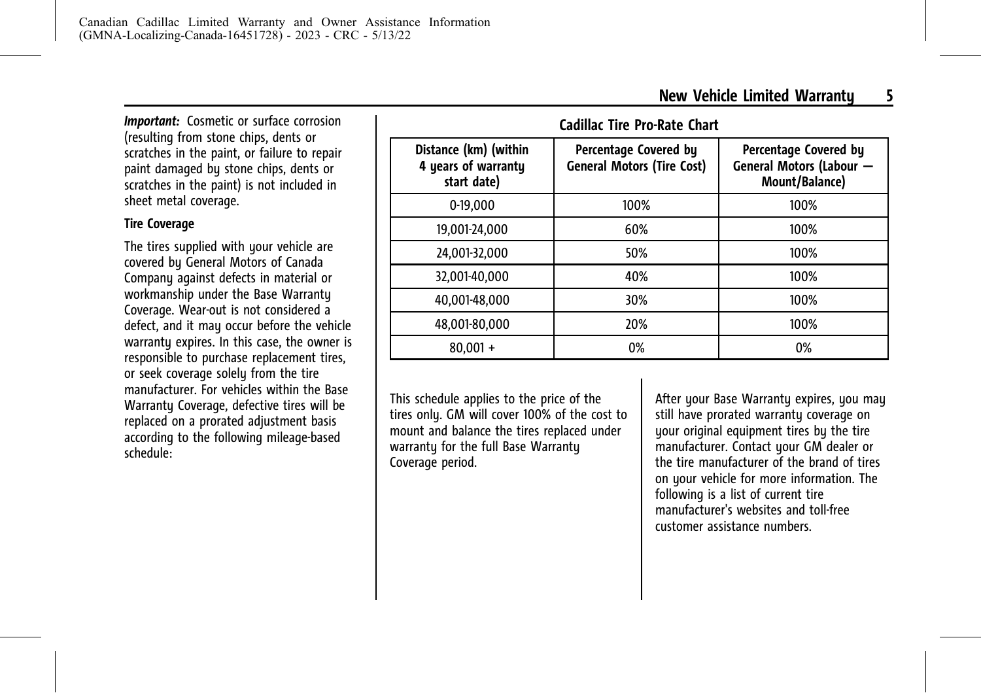*Important:* Cosmetic or surface corrosion (resulting from stone chips, dents or scratches in the paint, or failure to repair paint damaged by stone chips, dents or scratches in the paint) is not included in sheet metal coverage.

# **Tire Coverage**

The tires supplied with your vehicle are covered by General Motors of Canada Company against defects in material or workmanship under the Base Warranty Coverage. Wear-out is not considered a defect, and it may occur before the vehicle warranty expires. In this case, the owner is responsible to purchase replacement tires, or seek coverage solely from the tire manufacturer. For vehicles within the Base Warranty Coverage, defective tires will be replaced on a prorated adjustment basis according to the following mileage-based schedule:

| Distance (km) (within<br>4 years of warranty<br>start date) | Percentage Covered by<br><b>General Motors (Tire Cost)</b> | Percentage Covered by<br><b>General Motors (Labour</b><br>Mount/Balance) |
|-------------------------------------------------------------|------------------------------------------------------------|--------------------------------------------------------------------------|
| 0-19.000                                                    | 100%                                                       | 100%                                                                     |
| 19.001-24.000                                               | 60%                                                        | 100%                                                                     |
| 24,001-32,000                                               | 50%                                                        | 100%                                                                     |
| 32,001-40,000                                               | 40%                                                        | 100%                                                                     |
| 40.001-48.000                                               | 30%                                                        | 100%                                                                     |
| 48,001-80,000                                               | 20%                                                        | 100%                                                                     |
| $80,001 +$                                                  | 0%                                                         | 0%                                                                       |

This schedule applies to the price of the tires only. GM will cover 100% of the cost to mount and balance the tires replaced under warranty for the full Base Warranty Coverage period.

After your Base Warranty expires, you may still have prorated warranty coverage on your original equipment tires by the tire manufacturer. Contact your GM dealer or the tire manufacturer of the brand of tires on your vehicle for more information. The following is a list of current tire manufacturer's websites and toll-free customer assistance numbers.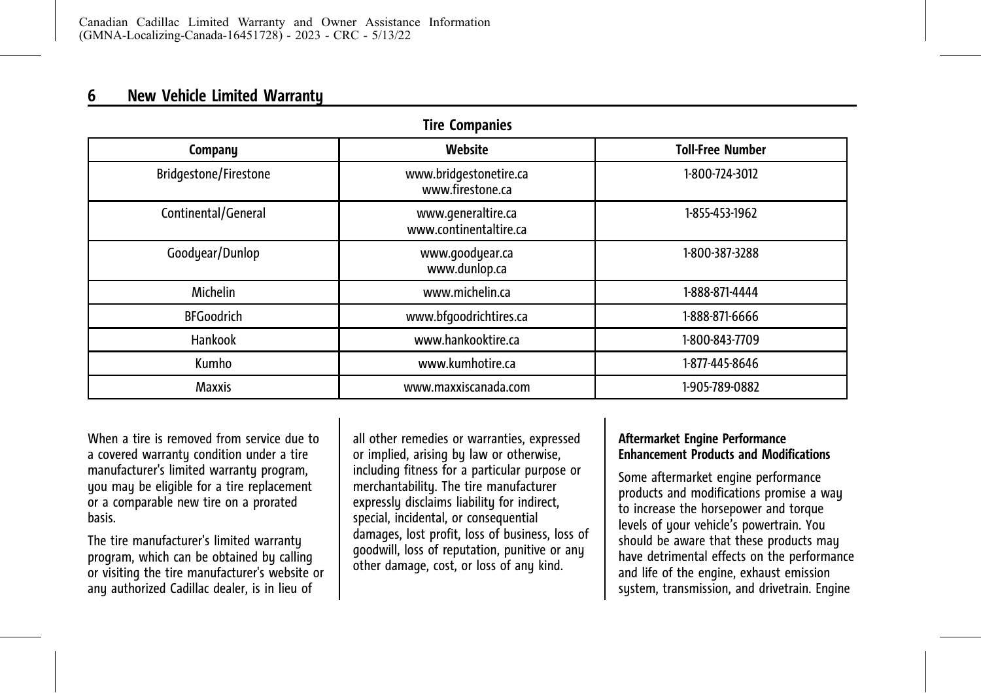# **6 New Vehicle Limited Warranty**

| <b>Tire Companies</b> |                                              |                         |  |  |  |
|-----------------------|----------------------------------------------|-------------------------|--|--|--|
| Company               | Website                                      | <b>Toll-Free Number</b> |  |  |  |
| Bridgestone/Firestone | www.bridgestonetire.ca<br>www.firestone.ca   | 1-800-724-3012          |  |  |  |
| Continental/General   | www.generaltire.ca<br>www.continentaltire.ca | 1-855-453-1962          |  |  |  |
| Goodyear/Dunlop       | www.goodyear.ca<br>www.dunlop.ca             | 1-800-387-3288          |  |  |  |
| Michelin              | www.michelin.ca                              | 1-888-871-4444          |  |  |  |
| <b>BFGoodrich</b>     | www.bfgoodrichtires.ca                       | 1-888-871-6666          |  |  |  |
| Hankook               | www.hankooktire.ca                           | 1-800-843-7709          |  |  |  |
| Kumho                 | www.kumhotire.ca                             | 1-877-445-8646          |  |  |  |
| <b>Maxxis</b>         | www.maxxiscanada.com<br>1-905-789-0882       |                         |  |  |  |

When a tire is removed from service due to a covered warranty condition under a tire manufacturer's limited warranty program, you may be eligible for a tire replacement or a comparable new tire on a prorated basis.

The tire manufacturer's limited warranty program, which can be obtained by calling or visiting the tire manufacturer's website or any authorized Cadillac dealer, is in lieu of

all other remedies or warranties, expressed or implied, arising by law or otherwise, including fitness for a particular purpose or merchantability. The tire manufacturer expressly disclaims liability for indirect, special, incidental, or consequential damages, lost profit, loss of business, loss of goodwill, loss of reputation, punitive or any other damage, cost, or loss of any kind.

#### **Aftermarket Engine Performance Enhancement Products and Modifications**

Some aftermarket engine performance products and modifications promise a way to increase the horsepower and torque levels of your vehicle's powertrain. You should be aware that these products may have detrimental effects on the performance and life of the engine, exhaust emission system, transmission, and drivetrain. Engine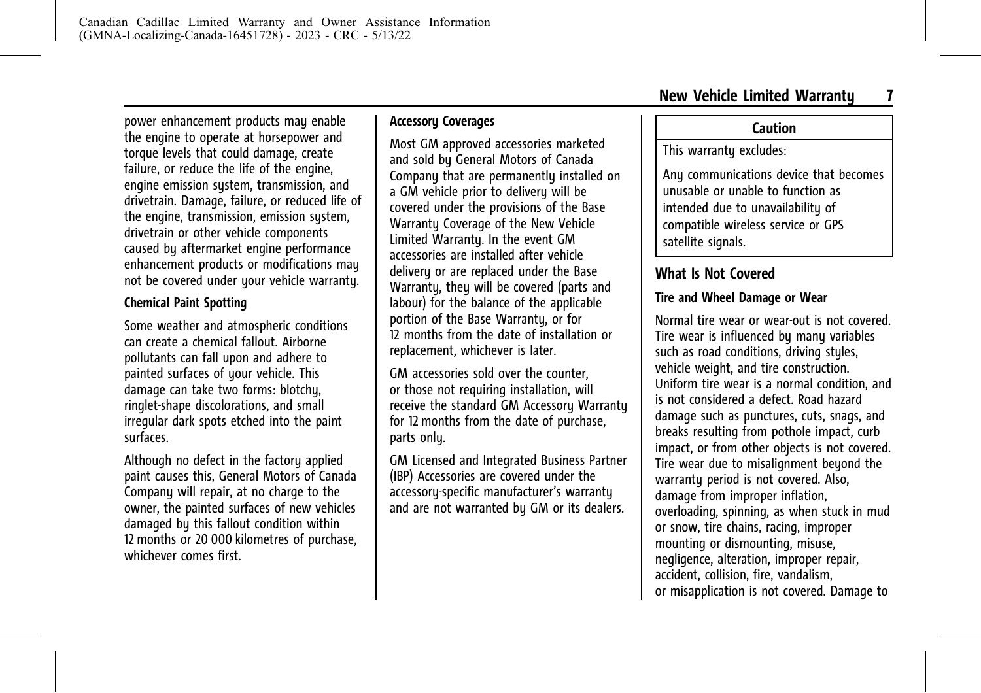<span id="page-11-0"></span>power enhancement products may enable the engine to operate at horsepower and torque levels that could damage, create failure, or reduce the life of the engine, engine emission system, transmission, and drivetrain. Damage, failure, or reduced life of the engine, transmission, emission system, drivetrain or other vehicle components caused by aftermarket engine performance enhancement products or modifications may not be covered under your vehicle warranty.

#### **Chemical Paint Spotting**

Some weather and atmospheric conditions can create a chemical fallout. Airborne pollutants can fall upon and adhere to painted surfaces of your vehicle. This damage can take two forms: blotchu, ringlet-shape discolorations, and small irregular dark spots etched into the paint surfaces.

Although no defect in the factory applied paint causes this, General Motors of Canada Company will repair, at no charge to the owner, the painted surfaces of new vehicles damaged by this fallout condition within 12 months or 20 000 kilometres of purchase, whichever comes first.

#### **Accessory Coverages**

Most GM approved accessories marketed and sold by General Motors of Canada Company that are permanently installed on a GM vehicle prior to delivery will be covered under the provisions of the Base Warranty Coverage of the New Vehicle Limited Warranty. In the event GM accessories are installed after vehicle delivery or are replaced under the Base Warrantu, they will be covered (parts and labour) for the balance of the applicable portion of the Base Warranty, or for 12 months from the date of installation or replacement, whichever is later.

GM accessories sold over the counter, or those not requiring installation, will receive the standard GM Accessory Warranty for 12 months from the date of purchase, parts onlu.

GM Licensed and Integrated Business Partner (IBP) Accessories are covered under the accessory-specific manufacturer's warranty and are not warranted by GM or its dealers.

# **Caution**

#### This warrantu excludes:

Any communications device that becomes unusable or unable to function as intended due to unavailabilitu of compatible wireless service or GPS satellite signals.

# **What Is Not Covered**

#### **Tire and Wheel Damage or Wear**

Normal tire wear or wear-out is not covered. Tire wear is influenced by many variables such as road conditions, driving styles, vehicle weight, and tire construction. Uniform tire wear is a normal condition, and is not considered a defect. Road hazard damage such as punctures, cuts, snags, and breaks resulting from pothole impact, curb impact, or from other objects is not covered. Tire wear due to misalignment beyond the warranty period is not covered. Also, damage from improper inflation, overloading, spinning, as when stuck in mud or snow, tire chains, racing, improper mounting or dismounting, misuse, negligence, alteration, improper repair, accident, collision, fire, vandalism, or misapplication is not covered. Damage to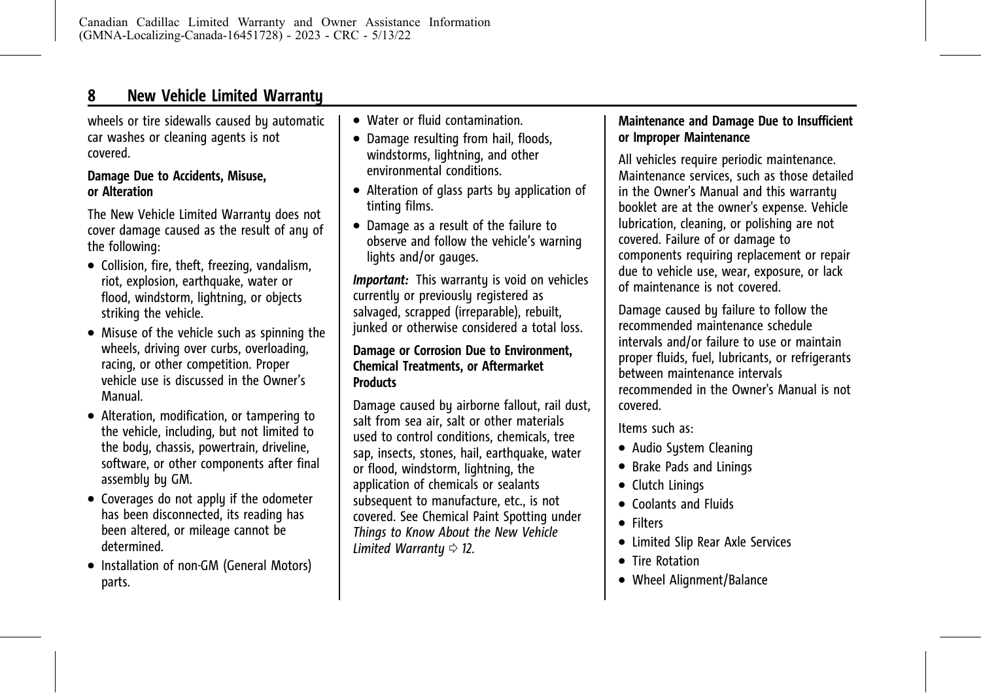# **8 New Vehicle Limited Warranty**

wheels or tire sidewalls caused by automatic car washes or cleaning agents is not covered.

#### **Damage Due to Accidents, Misuse, or Alteration**

The New Vehicle Limited Warranty does not cover damage caused as the result of any of the following:

- . Collision, fire, theft, freezing, vandalism, riot, explosion, earthquake, water or flood, windstorm, lightning, or objects striking the vehicle.
- . Misuse of the vehicle such as spinning the wheels, driving over curbs, overloading, racing, or other competition. Proper vehicle use is discussed in the Owner's Manual.
- . Alteration, modification, or tampering to the vehicle, including, but not limited to the body, chassis, powertrain, driveline, software, or other components after final assembly by GM.
- . Coverages do not apply if the odometer has been disconnected, its reading has been altered, or mileage cannot be determined.
- . Installation of non-GM (General Motors) parts.
- . Water or fluid contamination.
- . Damage resulting from hail, floods, windstorms, lightning, and other environmental conditions.
- . Alteration of glass parts by application of tinting films.
- . Damage as a result of the failure to observe and follow the vehicle's warning lights and/or gauges.

*Important:* This warranty is void on vehicles currently or previously registered as salvaged, scrapped (irreparable), rebuilt, junked or otherwise considered a total loss.

#### **Damage or Corrosion Due to Environment, Chemical Treatments, or Aftermarket Products**

Damage caused by airborne fallout, rail dust, salt from sea air, salt or other materials used to control conditions, chemicals, tree sap, insects, stones, hail, earthquake, water or flood, windstorm, lightning, the application of chemicals or sealants subsequent to manufacture, etc., is not covered. See Chemical Paint Spotting under *[Things to Know About the New Vehicle](#page-16-0) [Limited Warranty](#page-16-0)*  $\Rightarrow$  12.

#### **Maintenance and Damage Due to Insufficient or Improper Maintenance**

All vehicles require periodic maintenance. Maintenance services, such as those detailed in the Owner's Manual and this warranty booklet are at the owner's expense. Vehicle lubrication, cleaning, or polishing are not covered. Failure of or damage to components requiring replacement or repair due to vehicle use, wear, exposure, or lack of maintenance is not covered.

Damage caused by failure to follow the recommended maintenance schedule intervals and/or failure to use or maintain proper fluids, fuel, lubricants, or refrigerants between maintenance intervals recommended in the Owner's Manual is not covered.

Items such as:

- . Audio System Cleaning
- . Brake Pads and Linings
- Clutch Linings
- . Coolants and Fluids
- . Filters
- . Limited Slip Rear Axle Services
- . Tire Rotation
- Wheel Alianment/Balance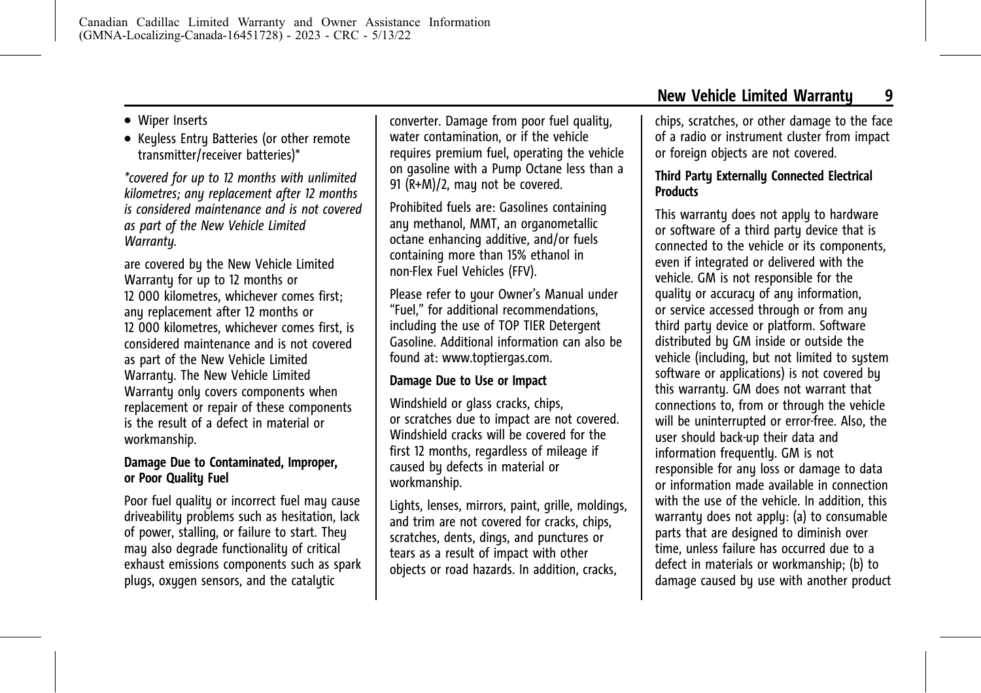#### . Wiper Inserts

. Keyless Entry Batteries (or other remote transmitter/receiver batteries)\*

*\*covered for up to 12 months with unlimited kilometres; any replacement after 12 months is considered maintenance and is not covered as part of the New Vehicle Limited Warranty.*

are covered by the New Vehicle Limited Warranty for up to 12 months or 12 000 kilometres, whichever comes first; any replacement after 12 months or 12 000 kilometres, whichever comes first, is considered maintenance and is not covered as part of the New Vehicle Limited Warrantu. The New Vehicle Limited Warranty only covers components when replacement or repair of these components is the result of a defect in material or workmanship.

#### **Damage Due to Contaminated, Improper, or Poor Quality Fuel**

Poor fuel quality or incorrect fuel may cause driveability problems such as hesitation, lack of power, stalling, or failure to start. They may also degrade functionality of critical exhaust emissions components such as spark plugs, oxygen sensors, and the catalytic

converter. Damage from poor fuel quality, water contamination, or if the vehicle requires premium fuel, operating the vehicle on gasoline with a Pump Octane less than a 91 (R+M)/2, may not be covered.

Prohibited fuels are: Gasolines containing any methanol, MMT, an organometallic octane enhancing additive, and/or fuels containing more than 15% ethanol in non-Flex Fuel Vehicles (FFV).

Please refer to your Owner's Manual under "Fuel," for additional recommendations, including the use of TOP TIER Detergent Gasoline. Additional information can also be found at: www.toptiergas.com.

#### **Damage Due to Use or Impact**

Windshield or glass cracks, chips, or scratches due to impact are not covered. Windshield cracks will be covered for the first 12 months, regardless of mileage if caused by defects in material or workmanship.

Lights, lenses, mirrors, paint, grille, moldings, and trim are not covered for cracks, chips, scratches, dents, dings, and punctures or tears as a result of impact with other objects or road hazards. In addition, cracks,

chips, scratches, or other damage to the face of a radio or instrument cluster from impact or foreign objects are not covered.

#### **Third Party Externally Connected Electrical Products**

This warranty does not apply to hardware or software of a third party device that is connected to the vehicle or its components, even if integrated or delivered with the vehicle. GM is not responsible for the quality or accuracy of any information, or service accessed through or from any third party device or platform. Software distributed by GM inside or outside the vehicle (including, but not limited to system software or applications) is not covered by this warranty. GM does not warrant that connections to, from or through the vehicle will be uninterrupted or error-free. Also, the user should back-up their data and information frequently. GM is not responsible for any loss or damage to data or information made available in connection with the use of the vehicle. In addition, this warranty does not apply: (a) to consumable parts that are designed to diminish over time, unless failure has occurred due to a defect in materials or workmanship; (b) to damage caused by use with another product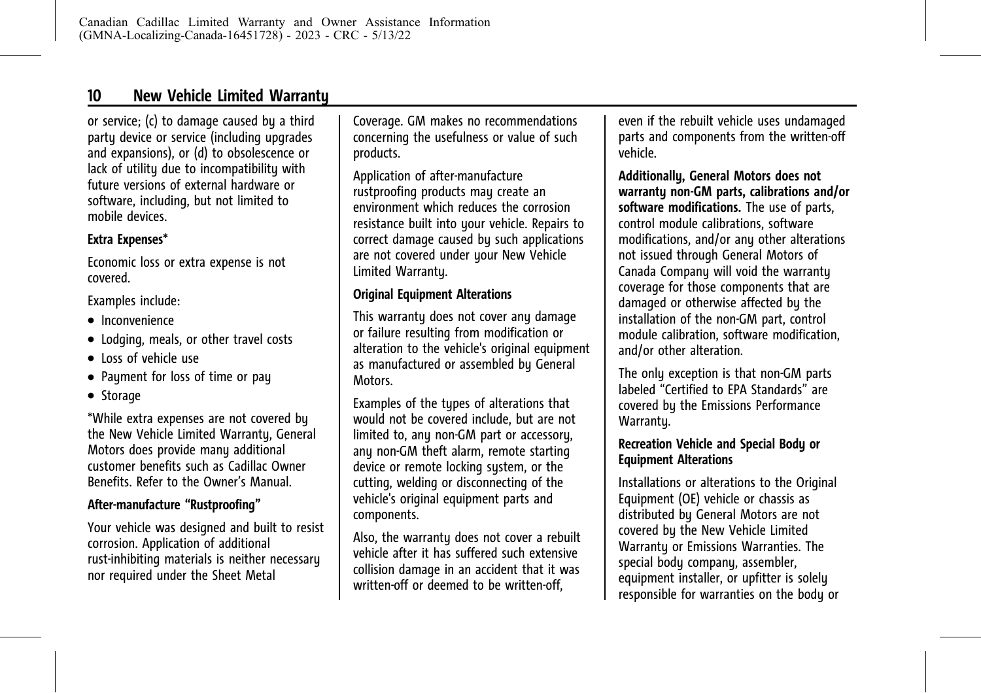# **10 New Vehicle Limited Warranty**

or service; (c) to damage caused by a third party device or service (including upgrades and expansions), or (d) to obsolescence or lack of utility due to incompatibility with future versions of external hardware or software, including, but not limited to mobile devices.

#### **Extra Expenses\***

Economic loss or extra expense is not covered.

Examples include:

- Inconvenience
- . Lodging, meals, or other travel costs
- . Loss of vehicle use
- Payment for loss of time or pay
- Storage

\*While extra expenses are not covered by the New Vehicle Limited Warranty, General Motors does provide many additional customer benefits such as Cadillac Owner Benefits. Refer to the Owner's Manual.

#### **After-manufacture "Rustproofing"**

Your vehicle was designed and built to resist corrosion. Application of additional rust-inhibiting materials is neither necessary nor required under the Sheet Metal

Coverage. GM makes no recommendations concerning the usefulness or value of such products.

Application of after-manufacture rustproofing products may create an environment which reduces the corrosion resistance built into your vehicle. Repairs to correct damage caused by such applications are not covered under your New Vehicle Limited Warranty.

#### **Original Equipment Alterations**

This warranty does not cover any damage or failure resulting from modification or alteration to the vehicle's original equipment as manufactured or assembled by General **Motors** 

Examples of the types of alterations that would not be covered include, but are not limited to, any non-GM part or accessory, any non-GM theft alarm, remote starting device or remote locking system, or the cutting, welding or disconnecting of the vehicle's original equipment parts and components.

Also, the warranty does not cover a rebuilt vehicle after it has suffered such extensive collision damage in an accident that it was written-off or deemed to be written-off,

even if the rebuilt vehicle uses undamaged parts and components from the written-off vehicle.

**Additionally, General Motors does not warranty non-GM parts, calibrations and/or software modifications.** The use of parts, control module calibrations, software modifications, and/or any other alterations not issued through General Motors of Canada Company will void the warranty coverage for those components that are damaged or otherwise affected by the installation of the non-GM part, control module calibration, software modification, and/or other alteration.

The only exception is that non-GM parts labeled "Certified to EPA Standards" are covered by the Emissions Performance Warrantu.

#### **Recreation Vehicle and Special Body or Equipment Alterations**

Installations or alterations to the Original Equipment (OE) vehicle or chassis as distributed by General Motors are not covered by the New Vehicle Limited Warranty or Emissions Warranties. The special body company, assembler, equipment installer, or upfitter is solely responsible for warranties on the body or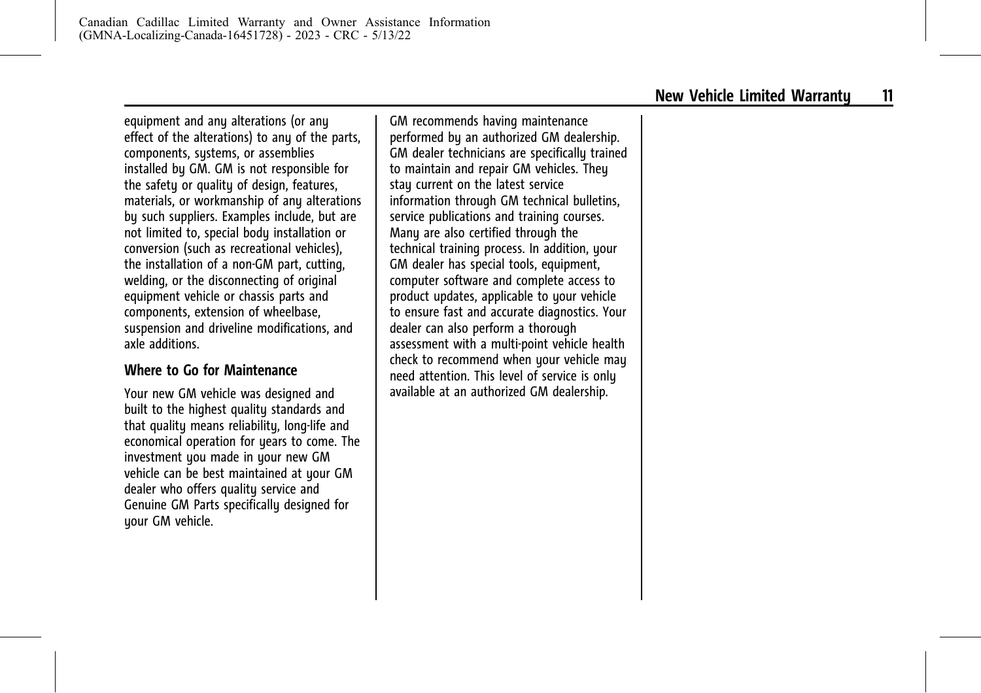<span id="page-15-0"></span>equipment and any alterations (or any effect of the alterations) to any of the parts, components, systems, or assemblies installed by GM. GM is not responsible for the safety or quality of design, features, materials, or workmanship of any alterations by such suppliers. Examples include, but are not limited to, special body installation or conversion (such as recreational vehicles), the installation of a non-GM part, cutting, welding, or the disconnecting of original equipment vehicle or chassis parts and components, extension of wheelbase, suspension and driveline modifications, and axle additions.

#### **Where to Go for Maintenance**

Your new GM vehicle was designed and built to the highest quality standards and that quality means reliability, long-life and economical operation for years to come. The investment you made in your new GM vehicle can be best maintained at your GM dealer who offers quality service and Genuine GM Parts specifically designed for your GM vehicle.

GM recommends having maintenance performed by an authorized GM dealership. GM dealer technicians are specifically trained to maintain and repair GM vehicles. They stay current on the latest service information through GM technical bulletins, service publications and training courses. Many are also certified through the technical training process. In addition, your GM dealer has special tools, equipment, computer software and complete access to product updates, applicable to your vehicle to ensure fast and accurate diagnostics. Your dealer can also perform a thorough assessment with a multi-point vehicle health check to recommend when your vehicle may need attention. This level of service is only available at an authorized GM dealership.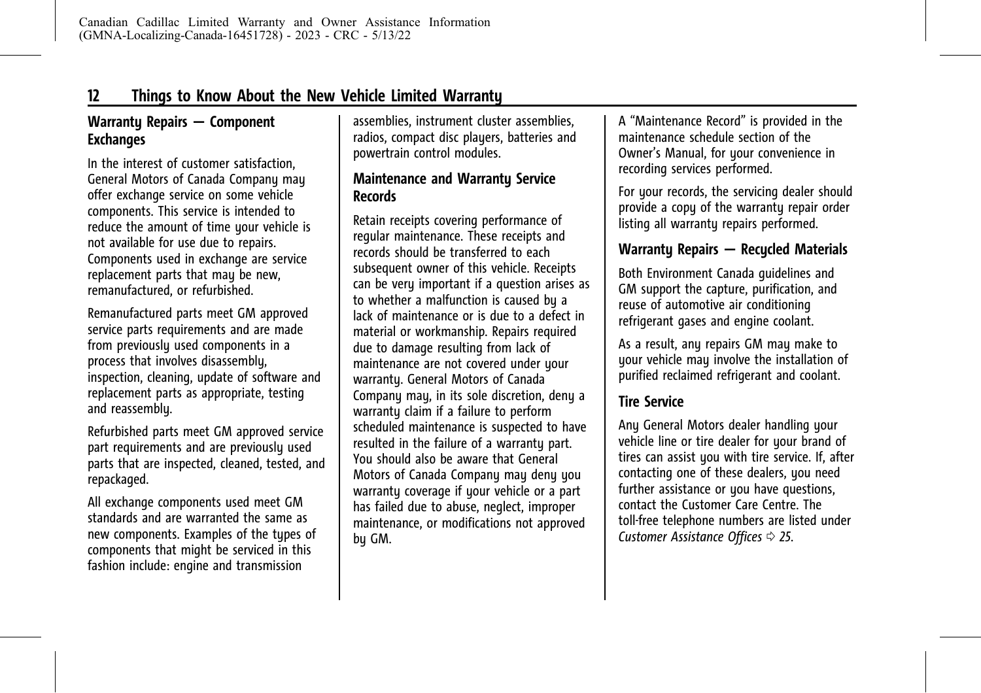# <span id="page-16-0"></span>**Warranty Repairs — Component Exchanges**

In the interest of customer satisfaction, General Motors of Canada Company may offer exchange service on some vehicle components. This service is intended to reduce the amount of time your vehicle is not available for use due to repairs. Components used in exchange are service replacement parts that may be new, remanufactured, or refurbished.

Remanufactured parts meet GM approved service parts requirements and are made from previously used components in a process that involves disassembly, inspection, cleaning, update of software and replacement parts as appropriate, testing and reassembly.

Refurbished parts meet GM approved service part requirements and are previously used parts that are inspected, cleaned, tested, and repackaged.

All exchange components used meet GM standards and are warranted the same as new components. Examples of the types of components that might be serviced in this fashion include: engine and transmission

assemblies, instrument cluster assemblies, radios, compact disc players, batteries and powertrain control modules.

# **Maintenance and Warranty Service Records**

Retain receipts covering performance of regular maintenance. These receipts and records should be transferred to each subsequent owner of this vehicle. Receipts can be very important if a question arises as to whether a malfunction is caused by a lack of maintenance or is due to a defect in material or workmanship. Repairs required due to damage resulting from lack of maintenance are not covered under your warranty. General Motors of Canada Company may, in its sole discretion, deny a warranty claim if a failure to perform scheduled maintenance is suspected to have resulted in the failure of a warranty part. You should also be aware that General Motors of Canada Company may deny you warranty coverage if your vehicle or a part has failed due to abuse, neglect, improper maintenance, or modifications not approved by GM.

A "Maintenance Record" is provided in the maintenance schedule section of the Owner's Manual, for your convenience in recording services performed.

For your records, the servicing dealer should provide a copy of the warranty repair order listing all warranty repairs performed.

# **Warranty Repairs — Recycled Materials**

Both Environment Canada guidelines and GM support the capture, purification, and reuse of automotive air conditioning refrigerant gases and engine coolant.

As a result, any repairs GM may make to your vehicle may involve the installation of purified reclaimed refrigerant and coolant.

### **Tire Service**

Any General Motors dealer handling your vehicle line or tire dealer for your brand of tires can assist you with tire service. If, after contacting one of these dealers, you need further assistance or you have questions, contact the Customer Care Centre. The toll-free telephone numbers are listed under *[Customer Assistance Offices](#page-29-0)*  $\Rightarrow$  25.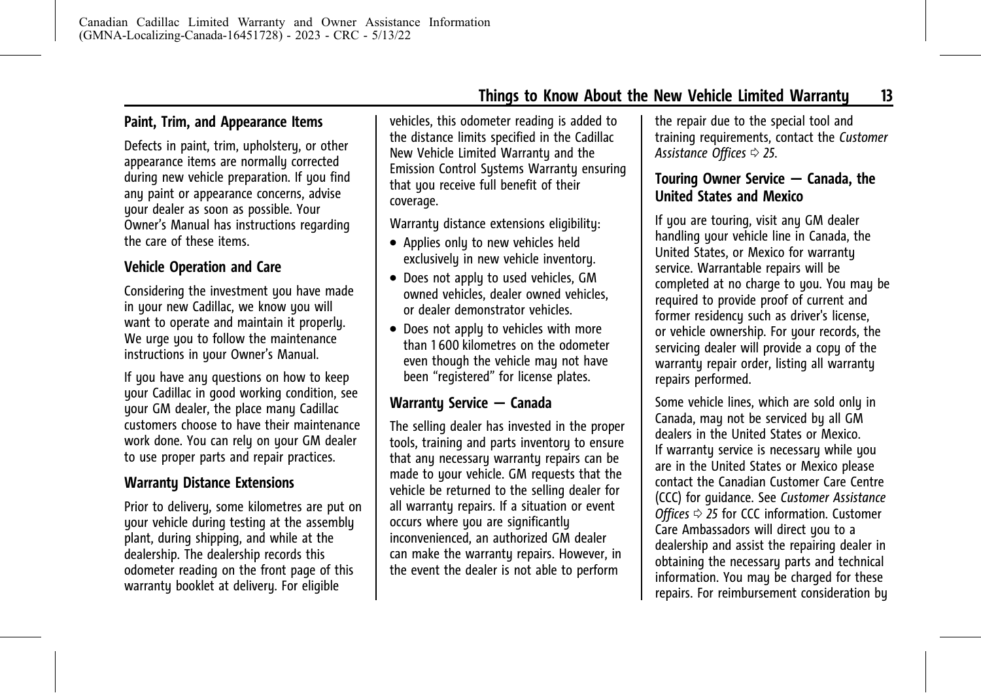### <span id="page-17-0"></span>**Paint, Trim, and Appearance Items**

Defects in paint, trim, upholstery, or other appearance items are normally corrected during new vehicle preparation. If you find any paint or appearance concerns, advise your dealer as soon as possible. Your Owner's Manual has instructions regarding the care of these items.

#### **Vehicle Operation and Care**

Considering the investment you have made in your new Cadillac, we know you will want to operate and maintain it properly. We urge you to follow the maintenance instructions in your Owner's Manual.

If you have any questions on how to keep your Cadillac in good working condition, see your GM dealer, the place many Cadillac customers choose to have their maintenance work done. You can rely on your GM dealer to use proper parts and repair practices.

### **Warranty Distance Extensions**

Prior to delivery, some kilometres are put on your vehicle during testing at the assembly plant, during shipping, and while at the dealership. The dealership records this odometer reading on the front page of this warranty booklet at delivery. For eligible

vehicles, this odometer reading is added to the distance limits specified in the Cadillac New Vehicle Limited Warranty and the Emission Control Systems Warranty ensuring that you receive full benefit of their coverage.

Warranty distance extensions eligibility:

- . Applies only to new vehicles held exclusively in new vehicle inventory.
- Does not apply to used vehicles, GM owned vehicles, dealer owned vehicles, or dealer demonstrator vehicles.
- Does not apply to vehicles with more than 1 600 kilometres on the odometer even though the vehicle may not have been "registered" for license plates.

#### **Warranty Service — Canada**

The selling dealer has invested in the proper tools, training and parts inventory to ensure that any necessary warranty repairs can be made to your vehicle. GM requests that the vehicle be returned to the selling dealer for all warranty repairs. If a situation or event occurs where you are significantly inconvenienced, an authorized GM dealer can make the warranty repairs. However, in the event the dealer is not able to perform

the repair due to the special tool and training requirements, contact the *[Customer](#page-29-0)* [Assistance Offices](#page-29-0)  $\Rightarrow$  25.

# **Touring Owner Service — Canada, the United States and Mexico**

If you are touring, visit any GM dealer handling your vehicle line in Canada, the United States, or Mexico for warranty service. Warrantable repairs will be completed at no charge to you. You may be required to provide proof of current and former residencu such as driver's license. or vehicle ownership. For your records, the servicing dealer will provide a copy of the warranty repair order, listing all warranty repairs performed.

Some vehicle lines, which are sold only in Canada, may not be serviced by all GM dealers in the United States or Mexico. If warranty service is necessary while you are in the United States or Mexico please contact the Canadian Customer Care Centre (CCC) for guidance. See *[Customer Assistance](#page-29-0) [Offices](#page-29-0)*  $\phi$  *25* for CCC information. Customer Care Ambassadors will direct you to a dealership and assist the repairing dealer in obtaining the necessary parts and technical information. You may be charged for these repairs. For reimbursement consideration by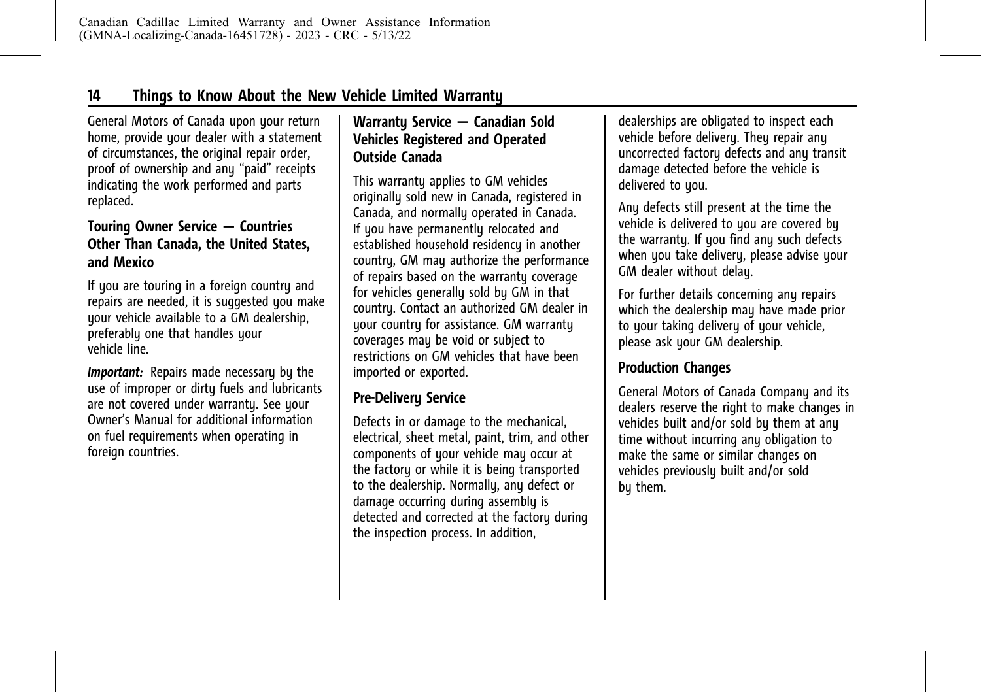<span id="page-18-0"></span>General Motors of Canada upon your return home, provide your dealer with a statement of circumstances, the original repair order, proof of ownership and any "paid" receipts indicating the work performed and parts replaced.

### **Touring Owner Service — Countries Other Than Canada, the United States, and Mexico**

If you are touring in a foreign country and repairs are needed, it is suggested you make your vehicle available to a GM dealership, preferably one that handles your vehicle line.

*Important:* Repairs made necessary by the use of improper or dirty fuels and lubricants are not covered under warranty. See your Owner's Manual for additional information on fuel requirements when operating in foreign countries.

# **Warranty Service — Canadian Sold Vehicles Registered and Operated Outside Canada**

This warranty applies to GM vehicles originally sold new in Canada, registered in Canada, and normally operated in Canada. If you have permanently relocated and established household residency in another country, GM may authorize the performance of repairs based on the warranty coverage for vehicles generally sold by GM in that country. Contact an authorized GM dealer in uour countru for assistance. GM warrantu coverages may be void or subject to restrictions on GM vehicles that have been imported or exported.

# **Pre-Delivery Service**

Defects in or damage to the mechanical, electrical, sheet metal, paint, trim, and other components of your vehicle may occur at the factory or while it is being transported to the dealership. Normally, any defect or damage occurring during assembly is detected and corrected at the factory during the inspection process. In addition,

dealerships are obligated to inspect each vehicle before delivery. They repair any uncorrected factory defects and any transit damage detected before the vehicle is delivered to you.

Any defects still present at the time the vehicle is delivered to you are covered by the warranty. If you find any such defects when you take delivery, please advise your GM dealer without delay.

For further details concerning any repairs which the dealership may have made prior to your taking delivery of your vehicle, please ask your GM dealership.

# **Production Changes**

General Motors of Canada Company and its dealers reserve the right to make changes in vehicles built and/or sold by them at any time without incurring any obligation to make the same or similar changes on vehicles previously built and/or sold by them.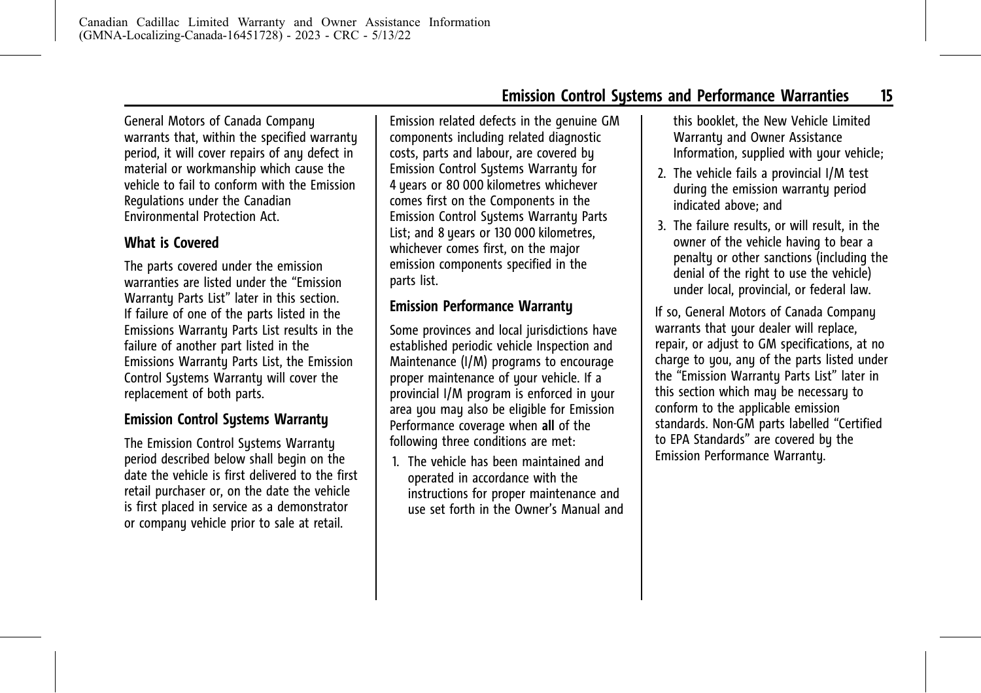<span id="page-19-0"></span>General Motors of Canada Company warrants that, within the specified warranty period, it will cover repairs of any defect in material or workmanship which cause the vehicle to fail to conform with the Emission Regulations under the Canadian Environmental Protection Act.

# **What is Covered**

The parts covered under the emission warranties are listed under the "Emission Warrantu Parts List" later in this section. If failure of one of the parts listed in the Emissions Warranty Parts List results in the failure of another part listed in the Emissions Warranty Parts List, the Emission Control Systems Warranty will cover the replacement of both parts.

# **Emission Control Systems Warranty**

The Emission Control Systems Warranty period described below shall begin on the date the vehicle is first delivered to the first retail purchaser or, on the date the vehicle is first placed in service as a demonstrator or company vehicle prior to sale at retail.

Emission related defects in the genuine GM components including related diagnostic costs, parts and labour, are covered by Emission Control Systems Warranty for 4 years or 80 000 kilometres whichever comes first on the Components in the Emission Control Systems Warranty Parts List; and 8 years or 130 000 kilometres, whichever comes first, on the major emission components specified in the parts list.

### **Emission Performance Warranty**

Some provinces and local jurisdictions have established periodic vehicle Inspection and Maintenance (I/M) programs to encourage proper maintenance of your vehicle. If a provincial I/M program is enforced in your area you may also be eligible for Emission Performance coverage when **all** of the following three conditions are met:

1. The vehicle has been maintained and operated in accordance with the instructions for proper maintenance and use set forth in the Owner's Manual and this booklet, the New Vehicle Limited Warranty and Owner Assistance Information, supplied with your vehicle;

- 2. The vehicle fails a provincial I/M test during the emission warranty period indicated above; and
- 3. The failure results, or will result, in the owner of the vehicle having to bear a penalty or other sanctions (including the denial of the right to use the vehicle) under local, provincial, or federal law.

If so, General Motors of Canada Company warrants that your dealer will replace, repair, or adjust to GM specifications, at no charge to you, any of the parts listed under the "Emission Warranty Parts List" later in this section which may be necessary to conform to the applicable emission standards. Non-GM parts labelled "Certified to EPA Standards" are covered by the Emission Performance Warranty.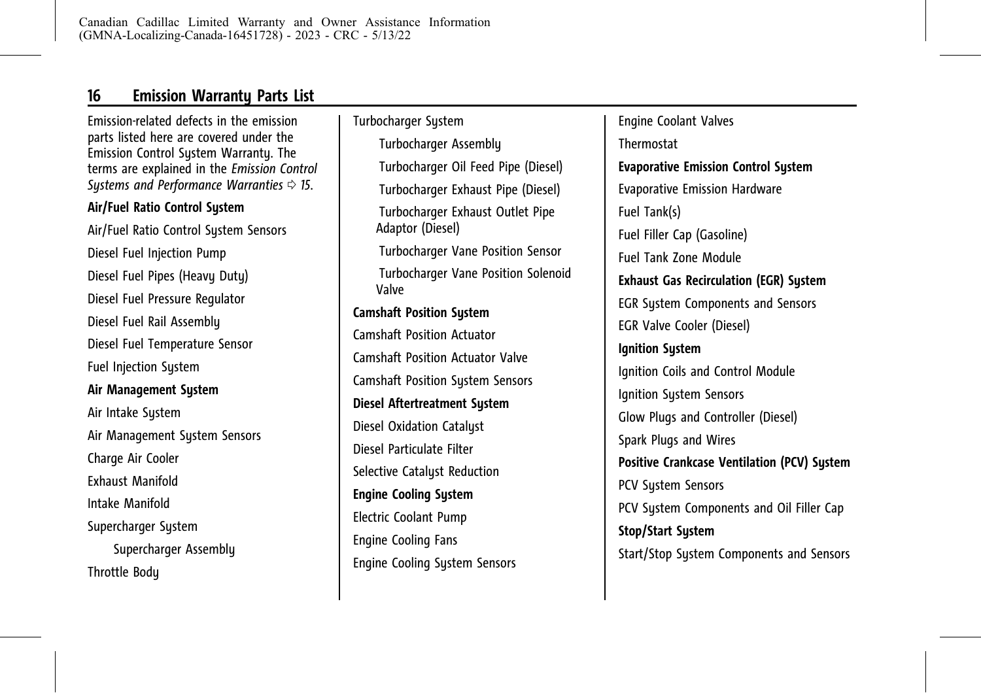# <span id="page-20-0"></span>**16 Emission Warranty Parts List**

Emission-related defects in the emission parts listed here are covered under the Emission Control System Warranty. The terms are explained in the *[Emission Control](#page-19-0) [Systems and Performance Warranties](#page-19-0)*  $\Rightarrow$  15.

#### **Air/Fuel Ratio Control System**

Air/Fuel Ratio Control System Sensors Diesel Fuel Injection Pump Diesel Fuel Pipes (Heavy Duty) Diesel Fuel Pressure Regulator Diesel Fuel Rail Assembly Diesel Fuel Temperature Sensor Fuel Injection System **Air Management System** Air Intake Sustem Air Management System Sensors Charge Air Cooler Exhaust Manifold Intake Manifold Supercharger System Supercharger Assemblu Throttle Body

Turbocharger System ITurbocharger Assembly ITurbocharger Oil Feed Pipe (Diesel) ITurbocharger Exhaust Pipe (Diesel) ITurbocharger Exhaust Outlet Pipe Adaptor (Diesel) ITurbocharger Vane Position Sensor **Turbocharger Vane Position Solenoid** Valve **Camshaft Position System** Camshaft Position Actuator Camshaft Position Actuator Valve Camshaft Position System Sensors **Diesel Aftertreatment System** Diesel Oxidation Catalyst Diesel Particulate Filter Selective Catalyst Reduction **Engine Cooling System** Electric Coolant Pump Engine Cooling Fans Engine Cooling System Sensors

Engine Coolant Valves Thermostat **Evaporative Emission Control System** Evaporative Emission Hardware Fuel Tank(s) Fuel Filler Cap (Gasoline) Fuel Tank Zone Module **Exhaust Gas Recirculation (EGR) System** EGR System Components and Sensors EGR Valve Cooler (Diesel) **Ignition System** Ignition Coils and Control Module Ignition System Sensors Glow Plugs and Controller (Diesel) Spark Plugs and Wires **Positive Crankcase Ventilation (PCV) System** PCV System Sensors PCV System Components and Oil Filler Cap **Stop/Start System** Start/Stop System Components and Sensors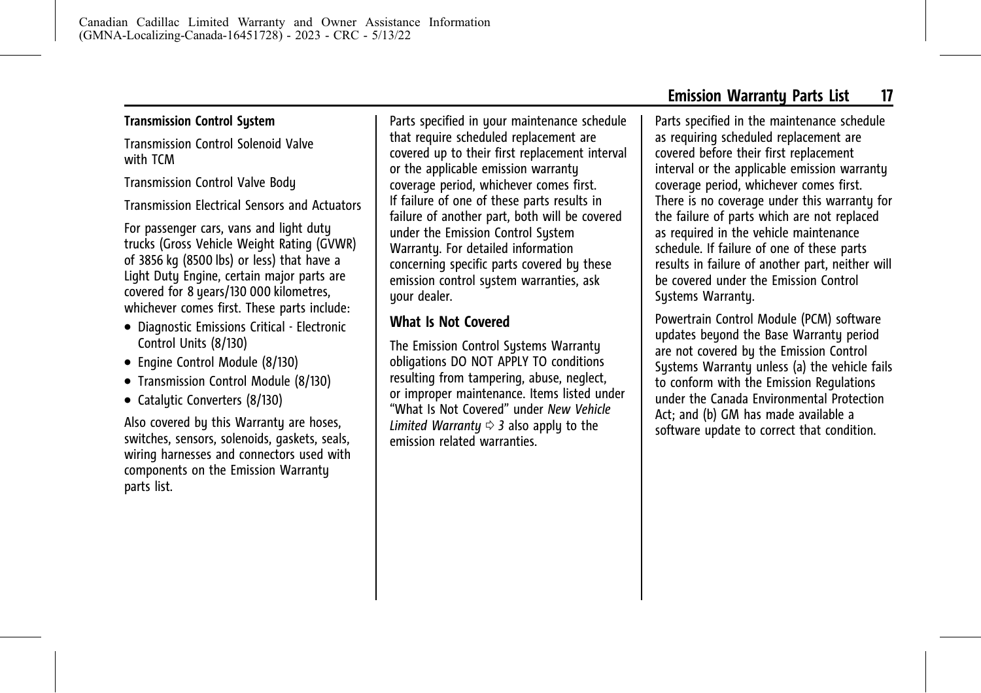#### <span id="page-21-0"></span>**Transmission Control System**

Transmission Control Solenoid Valve with TCM

Transmission Control Valve Body

Transmission Electrical Sensors and Actuators

For passenger cars, vans and light duty trucks (Gross Vehicle Weight Rating (GVWR) of 3856 kg (8500 lbs) or less) that have a Light Duty Engine, certain major parts are covered for 8 years/130 000 kilometres, whichever comes first. These parts include:

- . Diagnostic Emissions Critical Electronic Control Units (8/130)
- . Engine Control Module (8/130)
- . Transmission Control Module (8/130)
- Catalytic Converters (8/130)

Also covered by this Warranty are hoses, switches, sensors, solenoids, gaskets, seals, wiring harnesses and connectors used with components on the Emission Warranty parts list.

Parts specified in your maintenance schedule that require scheduled replacement are covered up to their first replacement interval or the applicable emission warranty coverage period, whichever comes first. If failure of one of these parts results in failure of another part, both will be covered under the Emission Control System Warranty. For detailed information concerning specific parts covered by these emission control system warranties, ask your dealer.

# **What Is Not Covered**

The Emission Control Systems Warranty obligations DO NOT APPLY TO conditions resulting from tampering, abuse, neglect, or improper maintenance. Items listed under "What Is Not Covered" under *[New Vehicle](#page-7-0) [Limited Warranty](#page-7-0)*  $\Leftrightarrow$  3 also apply to the emission related warranties.

Parts specified in the maintenance schedule as requiring scheduled replacement are covered before their first replacement interval or the applicable emission warranty coverage period, whichever comes first. There is no coverage under this warrantu for the failure of parts which are not replaced as required in the vehicle maintenance schedule. If failure of one of these parts results in failure of another part, neither will be covered under the Emission Control Systems Warranty.

Powertrain Control Module (PCM) software updates beyond the Base Warranty period are not covered by the Emission Control Systems Warranty unless (a) the vehicle fails to conform with the Emission Regulations under the Canada Environmental Protection Act; and (b) GM has made available a software update to correct that condition.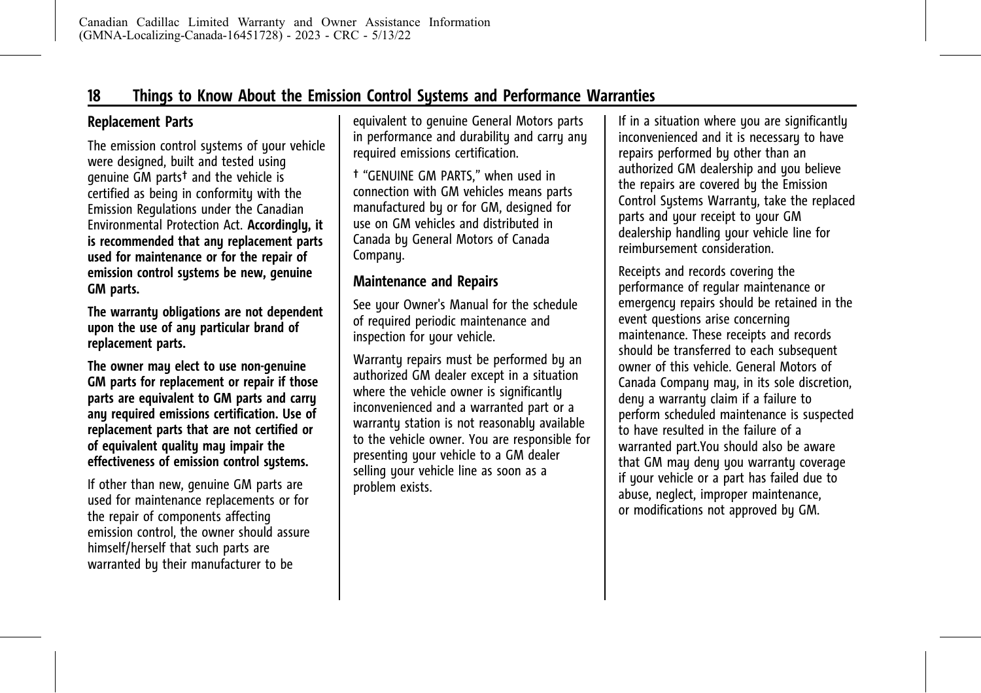### <span id="page-22-0"></span>**Replacement Parts**

The emission control systems of your vehicle were designed, built and tested using genuine GM parts† and the vehicle is certified as being in conformity with the Emission Regulations under the Canadian Environmental Protection Act. **Accordingly, it is recommended that any replacement parts used for maintenance or for the repair of emission control systems be new, genuine GM parts.**

**The warranty obligations are not dependent upon the use of any particular brand of replacement parts.**

**The owner may elect to use non-genuine GM parts for replacement or repair if those parts are equivalent to GM parts and carry any required emissions certification. Use of replacement parts that are not certified or of equivalent quality may impair the effectiveness of emission control systems.**

If other than new, genuine GM parts are used for maintenance replacements or for the repair of components affecting emission control, the owner should assure himself/herself that such parts are warranted by their manufacturer to be

equivalent to genuine General Motors parts in performance and durability and carry any required emissions certification.

† "GENUINE GM PARTS," when used in connection with GM vehicles means parts manufactured by or for GM, designed for use on GM vehicles and distributed in Canada by General Motors of Canada Company.

#### **Maintenance and Repairs**

See your Owner's Manual for the schedule of required periodic maintenance and inspection for your vehicle.

Warranty repairs must be performed by an authorized GM dealer except in a situation where the vehicle owner is significantly inconvenienced and a warranted part or a warranty station is not reasonably available to the vehicle owner. You are responsible for presenting your vehicle to a GM dealer selling your vehicle line as soon as a problem exists.

If in a situation where you are significantly inconvenienced and it is necessary to have repairs performed by other than an authorized GM dealership and you believe the repairs are covered by the Emission Control Sustems Warrantu, take the replaced parts and your receipt to your GM dealership handling your vehicle line for reimbursement consideration.

Receipts and records covering the performance of regular maintenance or emergency repairs should be retained in the event questions arise concerning maintenance. These receipts and records should be transferred to each subsequent owner of this vehicle. General Motors of Canada Company may, in its sole discretion, deny a warranty claim if a failure to perform scheduled maintenance is suspected to have resulted in the failure of a warranted part.You should also be aware that GM may deny you warranty coverage if your vehicle or a part has failed due to abuse, neglect, improper maintenance, or modifications not approved by GM.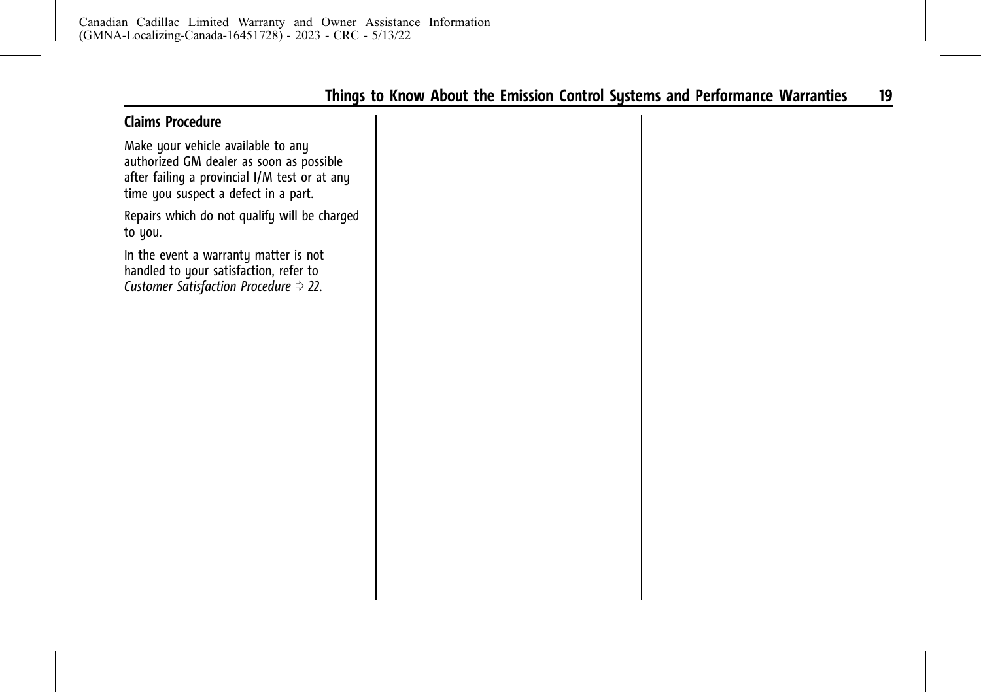### <span id="page-23-0"></span>**Claims Procedure**

Make your vehicle available to any authorized GM dealer as soon as possible after failing a provincial I/M test or at any time you suspect a defect in a part.

Repairs which do not qualify will be charged to you.

In the event a warranty matter is not handled to your satisfaction, refer to *[Customer Satisfaction Procedure](#page-26-0)*  $\Rightarrow$  22.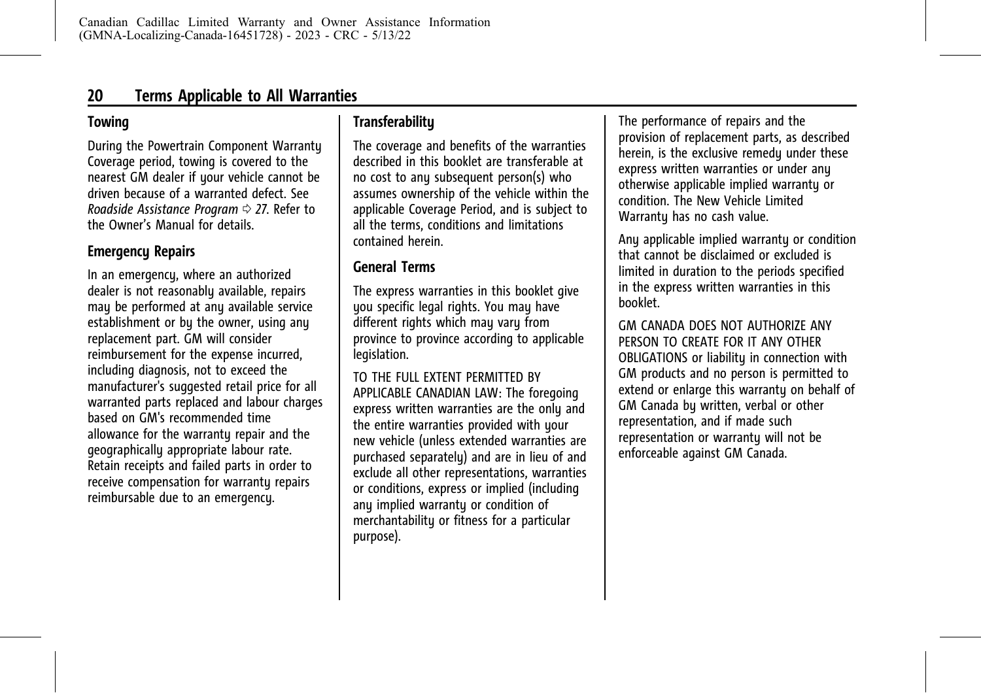# <span id="page-24-0"></span>**Towing**

During the Powertrain Component Warranty Coverage period, towing is covered to the nearest GM dealer if your vehicle cannot be driven because of a warranted defect. See *[Roadside Assistance Program](#page-31-0)*  $\Rightarrow$  27. Refer to the Owner's Manual for details.

# **Emergency Repairs**

In an emergency, where an authorized dealer is not reasonably available, repairs may be performed at any available service establishment or by the owner, using any replacement part. GM will consider reimbursement for the expense incurred, including diagnosis, not to exceed the manufacturer's suggested retail price for all warranted parts replaced and labour charges based on GM's recommended time allowance for the warrantu repair and the geographically appropriate labour rate. Retain receipts and failed parts in order to receive compensation for warranty repairs reimbursable due to an emergency.

# **Transferability**

The coverage and benefits of the warranties described in this booklet are transferable at no cost to any subsequent person(s) who assumes ownership of the vehicle within the applicable Coverage Period, and is subject to all the terms, conditions and limitations contained herein.

# **General Terms**

The express warranties in this booklet give you specific legal rights. You may have different rights which may vary from province to province according to applicable legislation.

TO THE FULL EXTENT PERMITTED BY APPLICABLE CANADIAN LAW: The foregoing express written warranties are the only and the entire warranties provided with your new vehicle (unless extended warranties are purchased separately) and are in lieu of and exclude all other representations, warranties or conditions, express or implied (including any implied warranty or condition of merchantability or fitness for a particular purpose).

The performance of repairs and the provision of replacement parts, as described herein, is the exclusive remedy under these express written warranties or under any otherwise applicable implied warranty or condition. The New Vehicle Limited Warrantu has no cash value.

Any applicable implied warranty or condition that cannot be disclaimed or excluded is limited in duration to the periods specified in the express written warranties in this booklet.

GM CANADA DOES NOT AUTHORIZE ANY PERSON TO CREATE FOR IT ANY OTHER OBLIGATIONS or liability in connection with GM products and no person is permitted to extend or enlarge this warranty on behalf of GM Canada by written, verbal or other representation, and if made such representation or warranty will not be enforceable against GM Canada.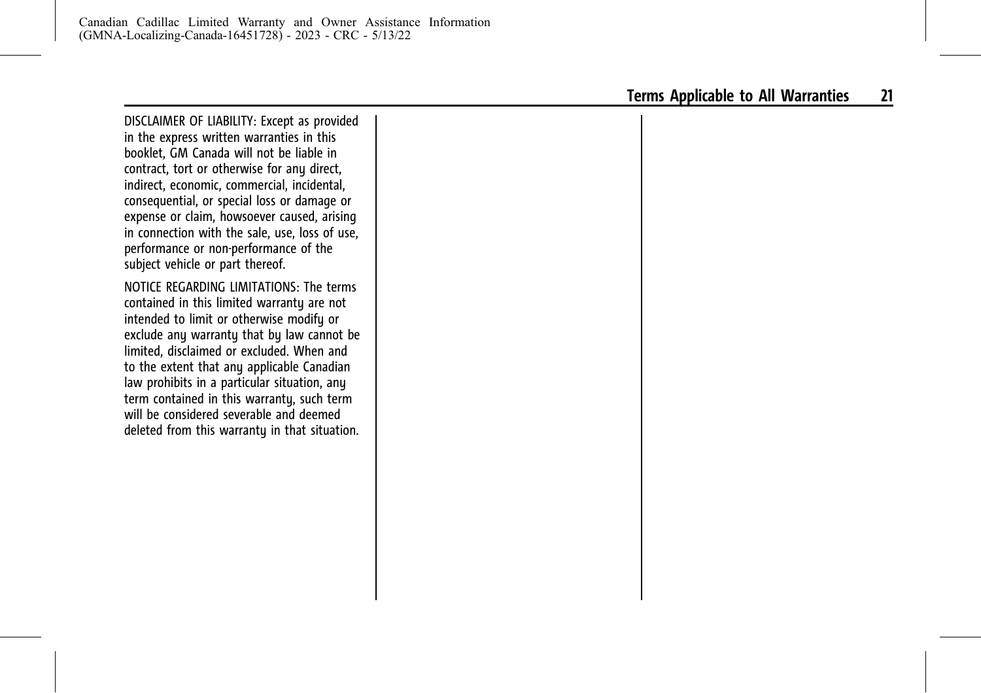DISCLAIMER OF LIABILITY: Except as provided in the express written warranties in this booklet, GM Canada will not be liable in contract, tort or otherwise for any direct, indirect, economic, commercial, incidental, consequential, or special loss or damage or expense or claim, howsoever caused, arising in connection with the sale, use, loss of use, performance or non-performance of the subject vehicle or part thereof.

NOTICE REGARDING LIMITATIONS: The terms contained in this limited warranty are not intended to limit or otherwise modify or exclude any warranty that by law cannot be limited, disclaimed or excluded. When and to the extent that any applicable Canadian law prohibits in a particular situation, any term contained in this warranty, such term will be considered severable and deemed deleted from this warranty in that situation.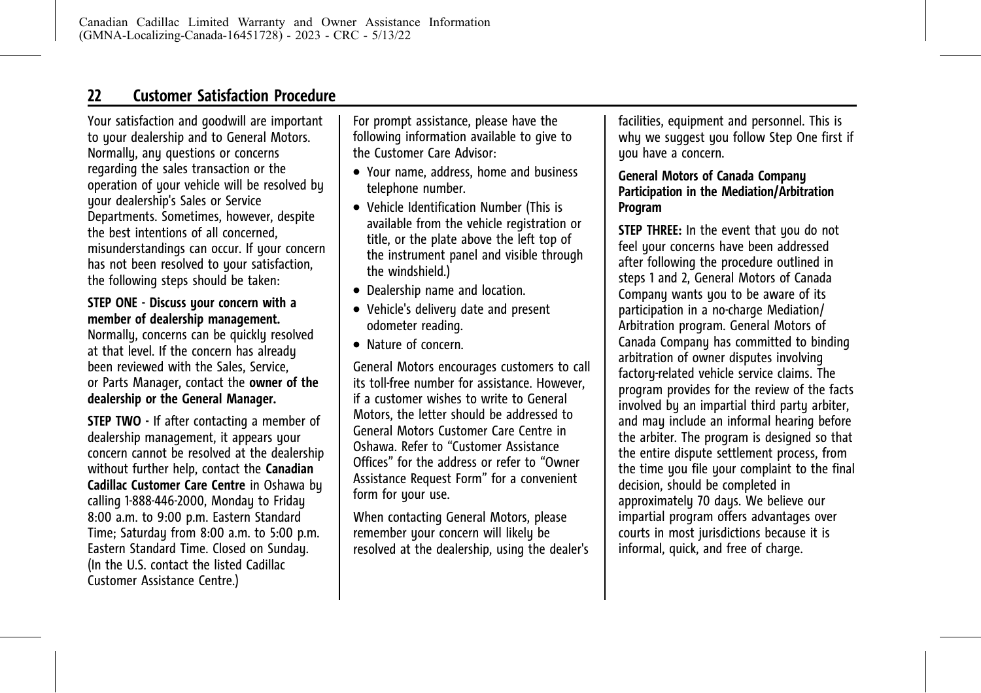# <span id="page-26-0"></span>**22 Customer Satisfaction Procedure**

Your satisfaction and goodwill are important to your dealership and to General Motors. Normally, any questions or concerns regarding the sales transaction or the operation of your vehicle will be resolved by your dealership's Sales or Service Departments. Sometimes, however, despite the best intentions of all concerned, misunderstandings can occur. If your concern has not been resolved to your satisfaction, the following steps should be taken:

#### **STEP ONE - Discuss your concern with a member of dealership management.**

Normally, concerns can be quickly resolved at that level. If the concern has already been reviewed with the Sales, Service, or Parts Manager, contact the **owner of the dealership or the General Manager.**

**STEP TWO -** If after contacting a member of dealership management, it appears your concern cannot be resolved at the dealership without further help, contact the **Canadian Cadillac Customer Care Centre** in Oshawa by calling 1-888-446-2000, Monday to Friday 8:00 a.m. to 9:00 p.m. Eastern Standard Time; Saturday from 8:00 a.m. to 5:00 p.m. Eastern Standard Time. Closed on Sunday. (In the U.S. contact the listed Cadillac Customer Assistance Centre.)

For prompt assistance, please have the following information available to give to the Customer Care Advisor:

- . Your name, address, home and business telephone number.
- . Vehicle Identification Number (This is available from the vehicle registration or title, or the plate above the left top of the instrument panel and visible through the windshield.)
- . Dealership name and location.
- Vehicle's delivery date and present odometer reading.
- . Nature of concern.

General Motors encourages customers to call its toll-free number for assistance. However if a customer wishes to write to General Motors, the letter should be addressed to General Motors Customer Care Centre in Oshawa. Refer to "Customer Assistance Offices" for the address or refer to "Owner Assistance Request Form" for a convenient form for your use.

When contacting General Motors, please remember your concern will likely be resolved at the dealership, using the dealer's

facilities, equipment and personnel. This is why we suggest you follow Step One first if uou have a concern.

#### **General Motors of Canada Company Participation in the Mediation/Arbitration Program**

**STEP THREE:** In the event that you do not feel your concerns have been addressed after following the procedure outlined in steps 1 and 2, General Motors of Canada Company wants you to be aware of its participation in a no-charge Mediation/ Arbitration program. General Motors of Canada Company has committed to binding arbitration of owner disputes involving factory-related vehicle service claims. The program provides for the review of the facts involved by an impartial third party arbiter, and may include an informal hearing before the arbiter. The program is designed so that the entire dispute settlement process, from the time you file your complaint to the final decision, should be completed in approximately 70 days. We believe our impartial program offers advantages over courts in most jurisdictions because it is informal, quick, and free of charge.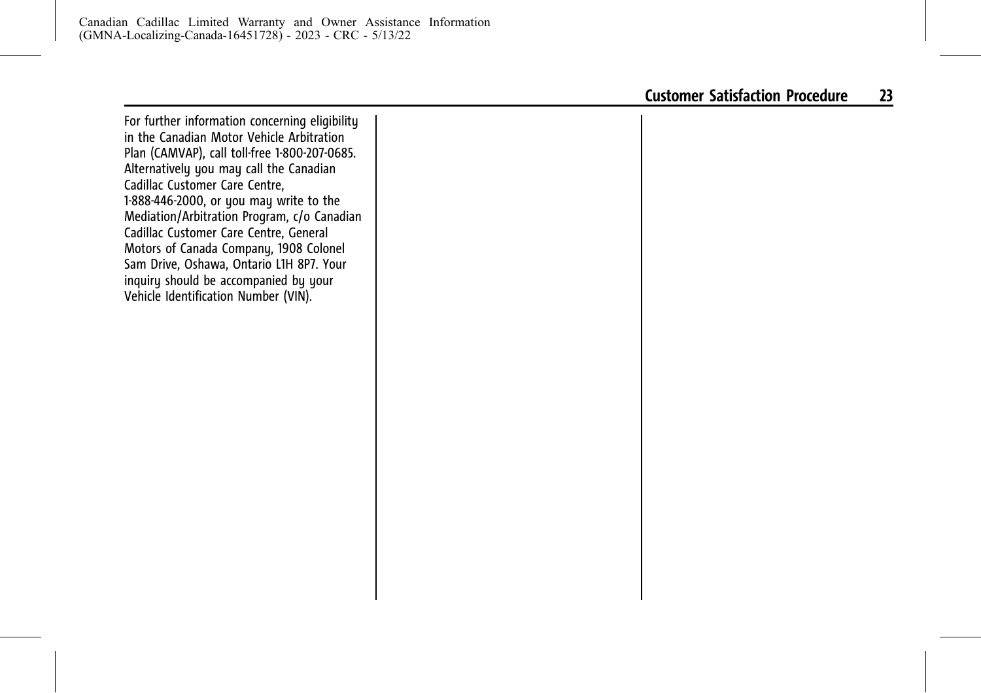For further information concerning eligibility in the Canadian Motor Vehicle Arbitration Plan (CAMVAP), call toll-free 1-800-207-0685. Alternatively you may call the Canadian Cadillac Customer Care Centre, 1-888-446-2000, or you may write to the Mediation/Arbitration Program, c/o Canadian Cadillac Customer Care Centre, General Motors of Canada Company, 1908 Colonel Sam Drive, Oshawa, Ontario L1H 8P7. Your inquiry should be accompanied by your Vehicle Identification Number (VIN).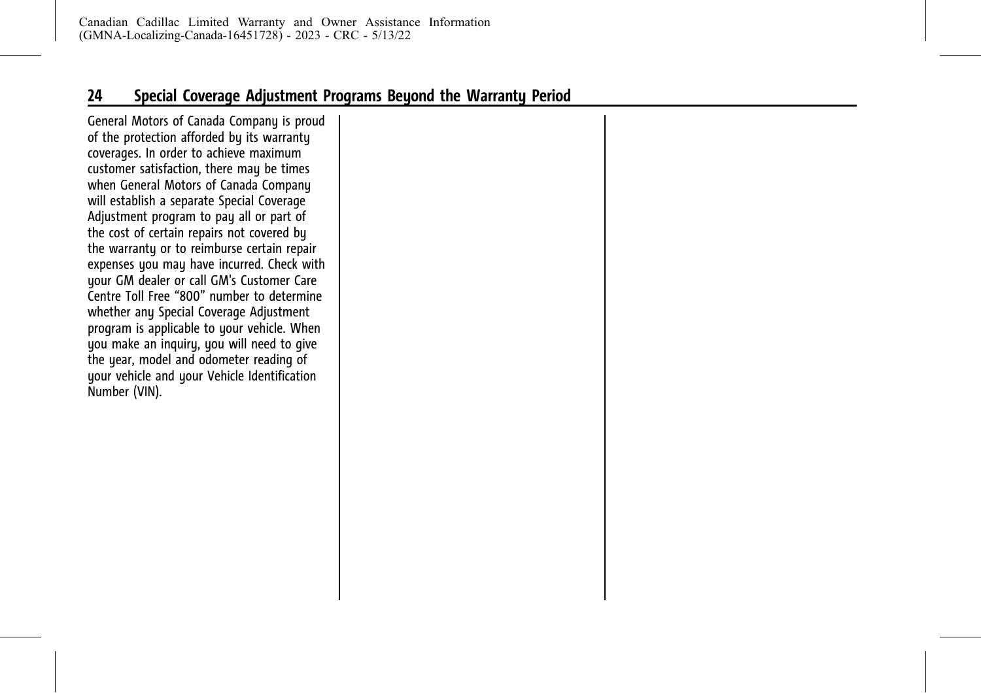<span id="page-28-0"></span>General Motors of Canada Company is proud of the protection afforded by its warranty coverages. In order to achieve maximum customer satisfaction, there may be times when General Motors of Canada Company will establish a separate Special Coverage Adjustment program to pay all or part of the cost of certain repairs not covered by the warranty or to reimburse certain repair expenses you may have incurred. Check with your GM dealer or call GM's Customer Care Centre Toll Free "800" number to determine whether any Special Coverage Adjustment program is applicable to your vehicle. When you make an inquiry, you will need to give the year, model and odometer reading of your vehicle and your Vehicle Identification Number (VIN).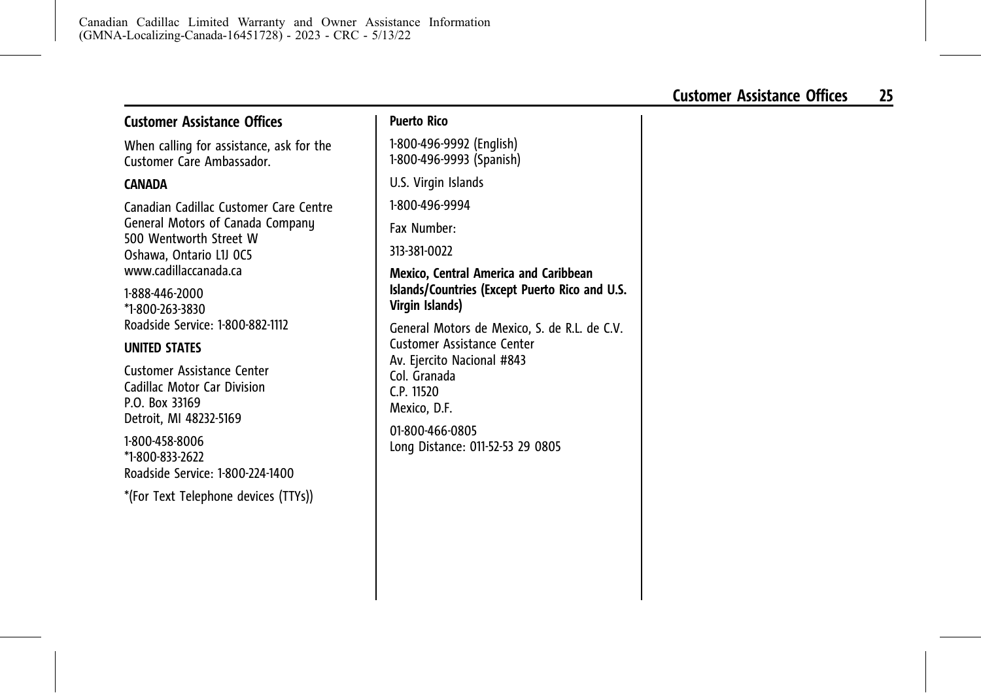# <span id="page-29-0"></span>**Customer Assistance Offices**

When calling for assistance, ask for the Customer Care Ambassador.

#### **CANADA**

Canadian Cadillac Customer Care Centre General Motors of Canada Company 500 Wentworth Street W Oshawa, Ontario L1J 0C5 www.cadillaccanada.ca

1-888-446-2000 \*1-800-263-3830 Roadside Service: 1-800-882-1112

# **UNITED STATES**

Customer Assistance Center Cadillac Motor Car Division P.O. Box 33169 Detroit, MI 48232-5169

1-800-458-8006 \*1-800-833-2622 Roadside Service: 1-800-224-1400

\*(For Text Telephone devices (TTYs))

1-800-496-9992 (English) 1-800-496-9993 (Spanish)

U.S. Virgin Islands

1-800-496-9994

Fax Number:

313-381-0022

#### **Mexico, Central America and Caribbean Islands/Countries (Except Puerto Rico and U.S. Virgin Islands)**

General Motors de Mexico, S. de R.L. de C.V. Customer Assistance Center Av. Ejercito Nacional #843 Col. Granada C.P. 11520 Mexico, D.F. 01-800-466-0805 Long Distance: 011-52-53 29 0805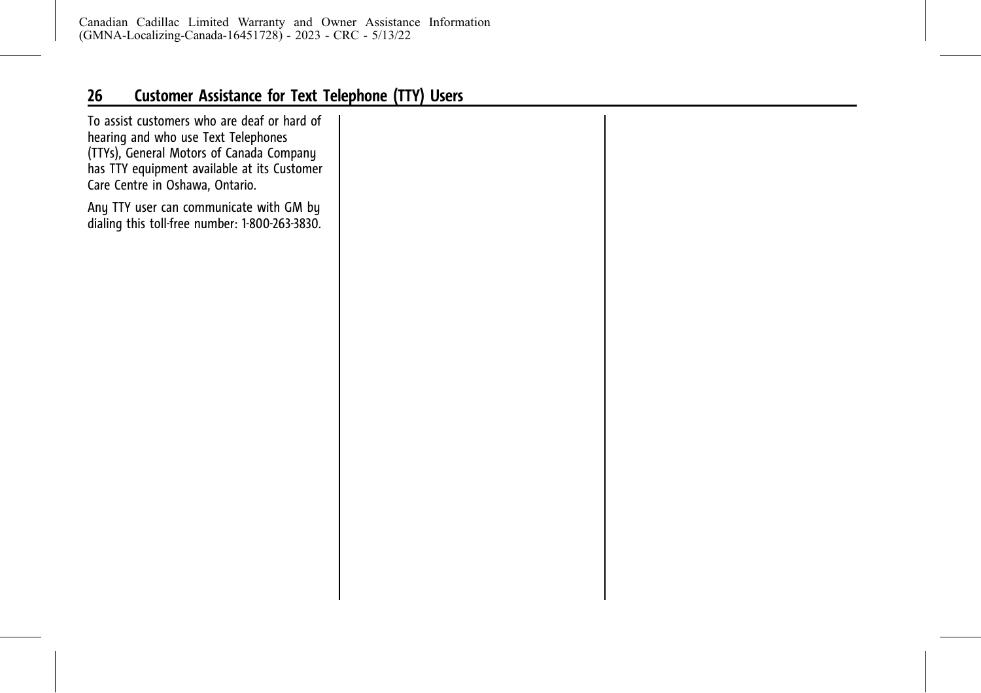# <span id="page-30-0"></span>**26 Customer Assistance for Text Telephone (TTY) Users**

To assist customers who are deaf or hard of hearing and who use Text Telephones (TTYs), General Motors of Canada Company has TTY equipment available at its Customer Care Centre in Oshawa, Ontario.

Any TTY user can communicate with GM by dialing this toll-free number: 1-800-263-3830.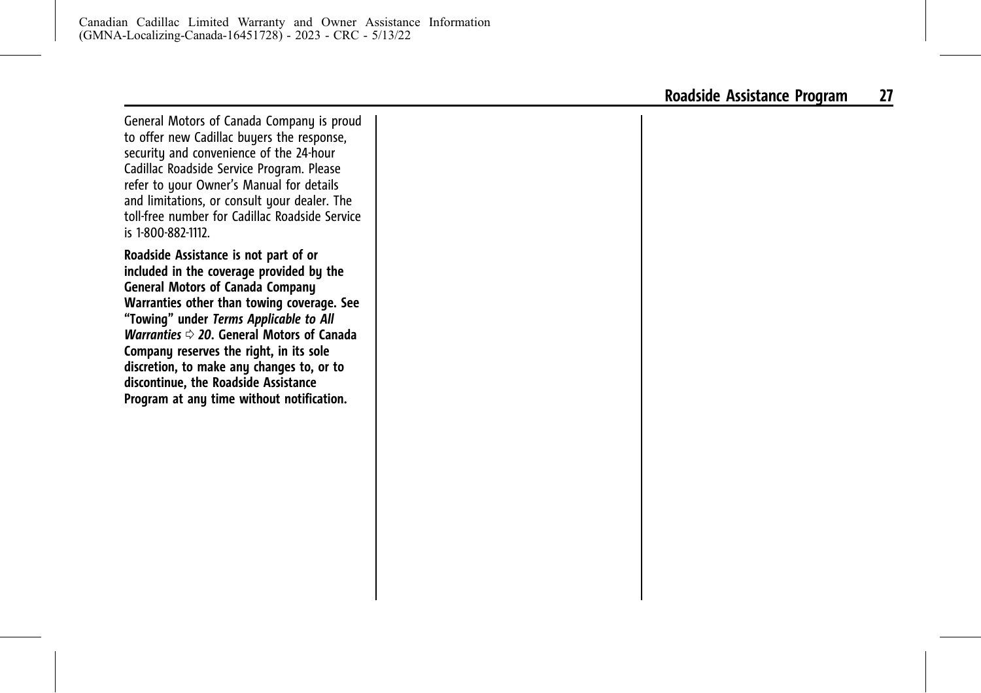<span id="page-31-0"></span>General Motors of Canada Company is proud to offer new Cadillac buyers the response, security and convenience of the 24-hour Cadillac Roadside Service Program. Please refer to your Owner's Manual for details and limitations, or consult your dealer. The toll-free number for Cadillac Roadside Service is 1-800-882-1112.

**Roadside Assistance is not part of or included in the coverage provided by the General Motors of Canada Company Warranties other than towing coverage. See "Towing" under** *[Terms Applicable to All](#page-24-0) [Warranties](#page-24-0)*  $\Rightarrow$  20. General Motors of Canada **Company reserves the right, in its sole discretion, to make any changes to, or to discontinue, the Roadside Assistance Program at any time without notification.**